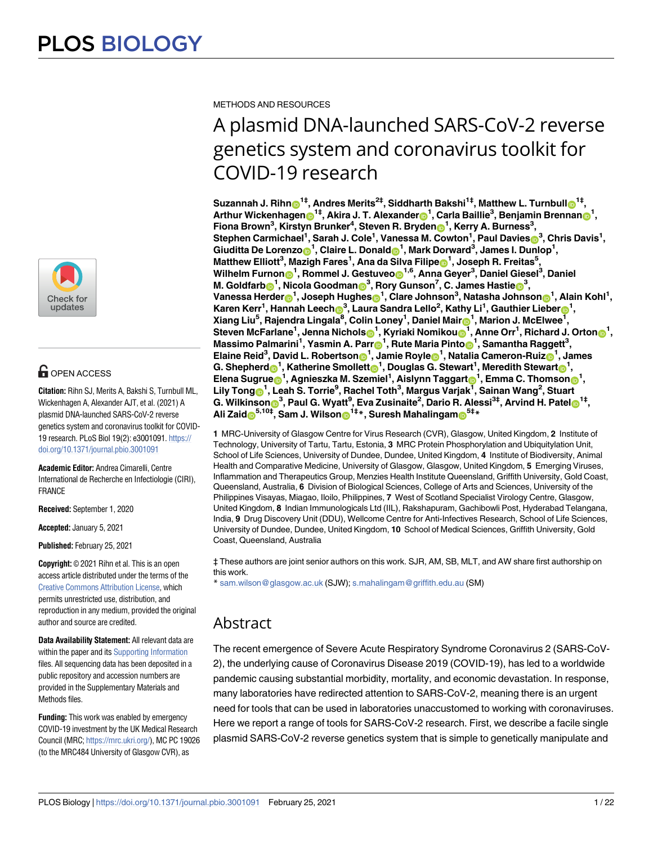

## **G** OPEN ACCESS

**Citation:** Rihn SJ, Merits A, Bakshi S, Turnbull ML, Wickenhagen A, Alexander AJT, et al. (2021) A plasmid DNA-launched SARS-CoV-2 reverse genetics system and coronavirus toolkit for COVID-19 research. PLoS Biol 19(2): e3001091. [https://](https://doi.org/10.1371/journal.pbio.3001091) [doi.org/10.1371/journal.pbio.3001091](https://doi.org/10.1371/journal.pbio.3001091)

**Academic Editor:** Andrea Cimarelli, Centre International de Recherche en Infectiologie (CIRI), FRANCE

**Received:** September 1, 2020

**Accepted:** January 5, 2021

**Published:** February 25, 2021

**Copyright:** © 2021 Rihn et al. This is an open access article distributed under the terms of the [Creative Commons Attribution License,](http://creativecommons.org/licenses/by/4.0/) which permits unrestricted use, distribution, and reproduction in any medium, provided the original author and source are credited.

**Data Availability Statement:** All relevant data are within the paper and its [Supporting Information](#page-17-0) files. All sequencing data has been deposited in a public repository and accession numbers are provided in the Supplementary Materials and Methods files.

**Funding:** This work was enabled by emergency COVID-19 investment by the UK Medical Research Council (MRC; <https://mrc.ukri.org/>), MC PC 19026 (to the MRC484 University of Glasgow CVR), as

METHODS AND RESOURCES

# A plasmid DNA-launched SARS-CoV-2 reverse genetics system and coronavirus toolkit for COVID-19 research

 $\blacksquare$ Buzannah J. Rihn $\blacksquare$  $\blacksquare$ <sup>1‡</sup>, Andres Merits $^{2\ddagger}$ , Siddharth Bakshi $^{1\ddagger}$ , Matthew L. Turnbull $\blacksquare$  $\blacksquare$ **Arthur Wickenhagen** $\blacksquare$ **<sup>1‡</sup>, Akira J. T. Alexander** $\blacksquare$ **<sup>1</sup>, Carla Baillie<sup>3</sup>, Benjamin Brennan** $\blacksquare^1$ **, Fiona Brown<sup>3</sup> , Kirstyn Brunker<sup>4</sup> , Steven R. Bryden[ID](https://orcid.org/0000-0001-5408-6047)<sup>1</sup> , Kerry A. Burness<sup>3</sup> ,**  $\blacksquare$ Sarmichael $^1$ , Sarah J. Cole $^1$ , Vanessa M. Cowton $^1$ , Paul Davies $\blacksquare^3$ , Chris Davis $^1$ ,  $\mathbf{G}$ iuditta De Lorenzo $\mathbf{O}^1$ , Claire L. Donald $\mathbf{O}^1$ , Mark Dorward<sup>3</sup>, James I. Dunlop<sup>1</sup>,  $\mathsf{M}$ atthew Elliott $^3$ , Mazigh Fares $^1$ , Ana da Silva Filipe $\mathsf{D}^1$ , Joseph R. Freitas $^5$ ,  $\textsf{Wilhelm}\text{-}\textsf{Furnon@}^1, \textsf{Rommel}\text{-}\textsf{J}\text{-}\textsf{Gestuveo@}^{1,6}, \textsf{Anna Geyer}^3, \textsf{Daniel Giesel}^3, \textsf{Daniel}$ **M. Goldfarb** $\mathbf{D}^1$ **, Nicola Goodman** $\mathbf{D}^3$ **, Rory Gunson<sup>7</sup>, C. James Hastie** $\mathbf{D}^3$ **,**  $V$ anessa Herder $\textbf{O}^1$ , Joseph Hughes $\textbf{O}^1$ , Clare Johnson $^3$ , Natasha Johnson $\textbf{O}^1$ , Alain Kohl<sup>1</sup>, **Karen Kerr<sup>1</sup>, Hannah Leech** $\mathbf{D}^3$ **, Laura Sandra Lello<sup>2</sup>, Kathy Li<sup>1</sup>, Gauthier Lieber** $\mathbf{D}^1$ **, Xiang Liu<sup>5</sup> , Rajendra Lingala<sup>8</sup> , Colin Loney<sup>1</sup> , Daniel Mair[ID](https://orcid.org/0000-0001-7169-9080)<sup>1</sup> , Marion J. McElwee<sup>1</sup> ,**  $\bm{\Theta}^1$ , Jenna Nichols $\bm{\Theta}^1$ , Kyriaki Nomikou $\bm{\Theta}^1$ , Anne Orr $^1$ , Richard J. Orton $\bm{\Theta}^1$ ,  $M$ assimo Palmarini<sup>1</sup>, Yasmin A. Parr $\mathbf{D}^1$ , Rute Maria Pinto $\mathbf{D}^1$ , Samantha Raggett<sup>3</sup>,  $\mathsf{E}$ laine Reid<sup>3</sup>, David L. Robertson $\mathsf{D}^1$ , Jamie Royle $\mathsf{D}^1$ , Natalia Cameron-Ruiz $\mathsf{D}^1$ , James  $\mathbf{G}$ . Shepherd $\mathbf{O}^1$ , Katherine Smollett $\mathbf{O}^1$ , Douglas G. Stewart<sup>1</sup>, Meredith Stewart $\mathbf{O}^1$ ,  $\mathsf{E}$ lena Sugrue $\mathsf{D}^1$ , Agnieszka M. Szemiel<sup>1</sup>, Aislynn Taggart $\mathsf{D}^1$ , Emma C. Thomson $\mathsf{D}^1$ ,  $\mathsf{Lily Tong}_\mathbf{0}$ <sup>1</sup>, Leah S. Torrie<sup>9</sup>, Rachel Toth<sup>3</sup>, Margus Varjak<sup>1</sup>, Sainan Wang<sup>2</sup>, Stuart  $\mathbf{G}.$  Wilkinson $\mathbf{O}^3$ , Paul G. Wyatt<sup>9</sup>, Eva Zusinaite<sup>2</sup>, Dario R. Alessi<sup>3‡</sup>, Arvind H. Patel $\mathbf{O}^{1\ddagger}$ , **Ali Zaid[ID](https://orcid.org/0000-0002-2528-2783)5,10‡, Sam J. Wilson[ID](https://orcid.org/0000-0002-6065-0895)1‡\*, Suresh Mahalingam[ID](https://orcid.org/0000-0003-3141-8410)5‡\***

**1** MRC-University of Glasgow Centre for Virus Research (CVR), Glasgow, United Kingdom, **2** Institute of Technology, University of Tartu, Tartu, Estonia, **3** MRC Protein Phosphorylation and Ubiquitylation Unit, School of Life Sciences, University of Dundee, Dundee, United Kingdom, **4** Institute of Biodiversity, Animal Health and Comparative Medicine, University of Glasgow, Glasgow, United Kingdom, **5** Emerging Viruses, Inflammation and Therapeutics Group, Menzies Health Institute Queensland, Griffith University, Gold Coast, Queensland, Australia, **6** Division of Biological Sciences, College of Arts and Sciences, University of the Philippines Visayas, Miagao, Iloilo, Philippines, **7** West of Scotland Specialist Virology Centre, Glasgow, United Kingdom, **8** Indian Immunologicals Ltd (IIL), Rakshapuram, Gachibowli Post, Hyderabad Telangana, India, **9** Drug Discovery Unit (DDU), Wellcome Centre for Anti-Infectives Research, School of Life Sciences, University of Dundee, Dundee, United Kingdom, **10** School of Medical Sciences, Griffith University, Gold Coast, Queensland, Australia

‡ These authors are joint senior authors on this work. SJR, AM, SB, MLT, and AW share first authorship on this work.

\* sam.wilson@glasgow.ac.uk (SJW); s.mahalingam@griffith.edu.au (SM)

## Abstract

The recent emergence of Severe Acute Respiratory Syndrome Coronavirus 2 (SARS-CoV-2), the underlying cause of Coronavirus Disease 2019 (COVID-19), has led to a worldwide pandemic causing substantial morbidity, mortality, and economic devastation. In response, many laboratories have redirected attention to SARS-CoV-2, meaning there is an urgent need for tools that can be used in laboratories unaccustomed to working with coronaviruses. Here we report a range of tools for SARS-CoV-2 research. First, we describe a facile single plasmid SARS-CoV-2 reverse genetics system that is simple to genetically manipulate and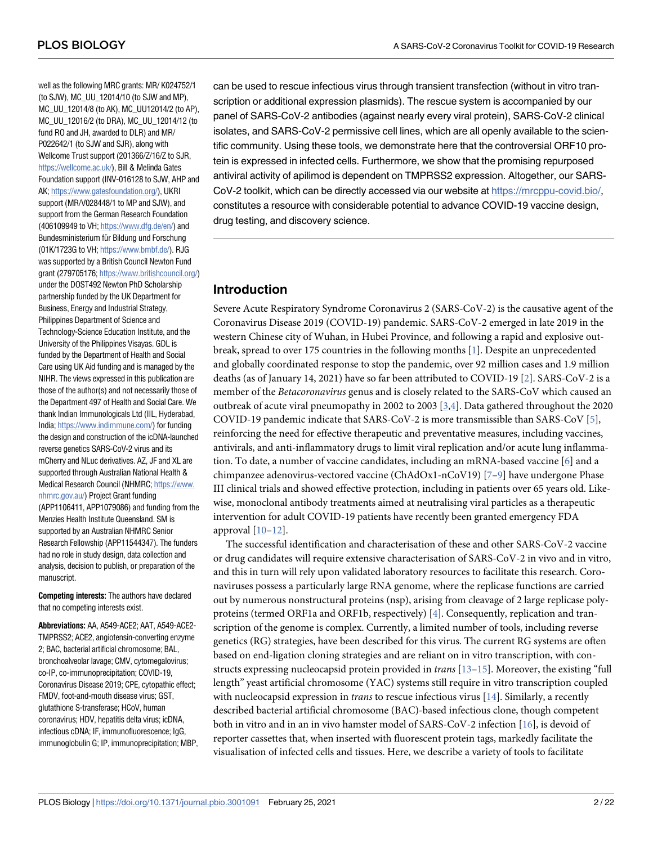<span id="page-1-0"></span>well as the following MRC grants: MR/ K024752/1 (to SJW), MC\_UU\_12014/10 (to SJW and MP), MC\_UU\_12014/8 (to AK), MC\_UU12014/2 (to AP), MC\_UU\_12016/2 (to DRA), MC\_UU\_12014/12 (to fund RO and JH, awarded to DLR) and MR/ P022642/1 (to SJW and SJR), along with Wellcome Trust support (201366/Z/16/Z to SJR, [https://wellcome.ac.uk/\)](https://wellcome.ac.uk/), Bill & Melinda Gates Foundation support (INV-016128 to SJW, AHP and AK; [https://www.gatesfoundation.org/\)](https://www.gatesfoundation.org/), UKRI support (MR/V028448/1 to MP and SJW), and support from the German Research Foundation (406109949 to VH; <https://www.dfg.de/en/>) and Bundesministerium für Bildung und Forschung (01K/1723G to VH; [https://www.bmbf.de/\)](https://www.bmbf.de/). RJG was supported by a British Council Newton Fund grant (279705176; <https://www.britishcouncil.org/>) under the DOST492 Newton PhD Scholarship partnership funded by the UK Department for Business, Energy and Industrial Strategy, Philippines Department of Science and Technology-Science Education Institute, and the University of the Philippines Visayas. GDL is funded by the Department of Health and Social Care using UK Aid funding and is managed by the NIHR. The views expressed in this publication are those of the author(s) and not necessarily those of the Department 497 of Health and Social Care. We thank Indian Immunologicals Ltd (IIL, Hyderabad, India; [https://www.indimmune.com/\)](https://www.indimmune.com/) for funding the design and construction of the icDNA-launched reverse genetics SARS-CoV-2 virus and its mCherry and NLuc derivatives. AZ, JF and XL are supported through Australian National Health & Medical Research Council (NHMRC; [https://www.](https://www.nhmrc.gov.au/) [nhmrc.gov.au/](https://www.nhmrc.gov.au/)) Project Grant funding (APP1106411, APP1079086) and funding from the Menzies Health Institute Queensland. SM is supported by an Australian NHMRC Senior Research Fellowship (APP11544347). The funders had no role in study design, data collection and analysis, decision to publish, or preparation of the manuscript.

**Competing interests:** The authors have declared that no competing interests exist.

**Abbreviations:** AA, A549-ACE2; AAT, A549-ACE2- TMPRSS2; ACE2, angiotensin-converting enzyme 2; BAC, bacterial artificial chromosome; BAL, bronchoalveolar lavage; CMV, cytomegalovirus; co-IP, co-immunoprecipitation; COVID-19, Coronavirus Disease 2019; CPE, cytopathic effect; FMDV, foot-and-mouth disease virus; GST, glutathione S-transferase; HCoV, human coronavirus; HDV, hepatitis delta virus; icDNA, infectious cDNA; IF, immunofluorescence; IgG, immunoglobulin G; IP, immunoprecipitation; MBP, can be used to rescue infectious virus through transient transfection (without in vitro transcription or additional expression plasmids). The rescue system is accompanied by our panel of SARS-CoV-2 antibodies (against nearly every viral protein), SARS-CoV-2 clinical isolates, and SARS-CoV-2 permissive cell lines, which are all openly available to the scientific community. Using these tools, we demonstrate here that the controversial ORF10 protein is expressed in infected cells. Furthermore, we show that the promising repurposed antiviral activity of apilimod is dependent on TMPRSS2 expression. Altogether, our SARS-CoV-2 toolkit, which can be directly accessed via our website at <https://mrcppu-covid.bio/>, constitutes a resource with considerable potential to advance COVID-19 vaccine design, drug testing, and discovery science.

## **Introduction**

Severe Acute Respiratory Syndrome Coronavirus 2 (SARS-CoV-2) is the causative agent of the Coronavirus Disease 2019 (COVID-19) pandemic. SARS-CoV-2 emerged in late 2019 in the western Chinese city of Wuhan, in Hubei Province, and following a rapid and explosive outbreak, spread to over 175 countries in the following months [\[1](#page-19-0)]. Despite an unprecedented and globally coordinated response to stop the pandemic, over 92 million cases and 1.9 million deaths (as of January 14, 2021) have so far been attributed to COVID-19 [[2](#page-19-0)]. SARS-CoV-2 is a member of the Betacoronavirus genus and is closely related to the SARS-CoV which caused an outbreak of acute viral pneumopathy in 2002 to 2003 [[3](#page-19-0),[4](#page-19-0)]. Data gathered throughout the 2020 COVID-19 pandemic indicate that SARS-CoV-2 is more transmissible than SARS-CoV [\[5](#page-19-0)], reinforcing the need for effective therapeutic and preventative measures, including vaccines, antivirals, and anti-inflammatory drugs to limit viral replication and/or acute lung inflammation. To date, a number of vaccine candidates, including an mRNA-based vaccine [[6](#page-19-0)] and a chimpanzee adenovirus-vectored vaccine (ChAdOx1-nCoV19) [[7–](#page-19-0)[9\]](#page-20-0) have undergone Phase III clinical trials and showed effective protection, including in patients over 65 years old. Likewise, monoclonal antibody treatments aimed at neutralising viral particles as a therapeutic intervention for adult COVID-19 patients have recently been granted emergency FDA approval  $[10-12]$ .

The successful identification and characterisation of these and other SARS-CoV-2 vaccine or drug candidates will require extensive characterisation of SARS-CoV-2 in vivo and in vitro, and this in turn will rely upon validated laboratory resources to facilitate this research. Coronaviruses possess a particularly large RNA genome, where the replicase functions are carried out by numerous nonstructural proteins (nsp), arising from cleavage of 2 large replicase polyproteins (termed ORF1a and ORF1b, respectively) [[4\]](#page-19-0). Consequently, replication and transcription of the genome is complex. Currently, a limited number of tools, including reverse genetics (RG) strategies, have been described for this virus. The current RG systems are often based on end-ligation cloning strategies and are reliant on in vitro transcription, with constructs expressing nucleocapsid protein provided in *trans*  $[13–15]$  $[13–15]$  $[13–15]$  $[13–15]$  $[13–15]$ . Moreover, the existing "full length" yeast artificial chromosome (YAC) systems still require in vitro transcription coupled with nucleocapsid expression in *trans* to rescue infectious virus [\[14\]](#page-20-0). Similarly, a recently described bacterial artificial chromosome (BAC)-based infectious clone, though competent both in vitro and in an in vivo hamster model of SARS-CoV-2 infection [[16](#page-20-0)], is devoid of reporter cassettes that, when inserted with fluorescent protein tags, markedly facilitate the visualisation of infected cells and tissues. Here, we describe a variety of tools to facilitate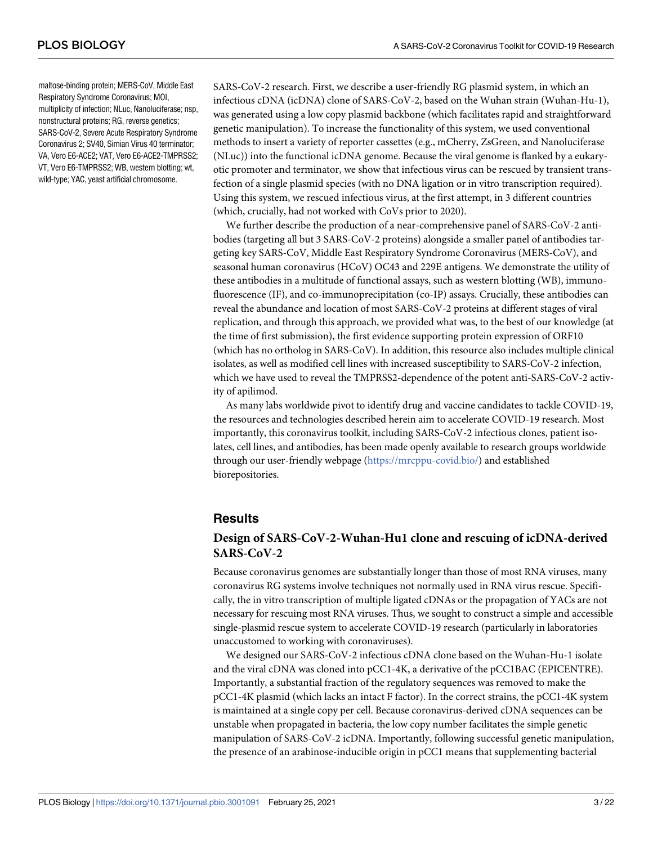maltose-binding protein; MERS-CoV, Middle East Respiratory Syndrome Coronavirus; MOI, multiplicity of infection; NLuc, Nanoluciferase; nsp, nonstructural proteins; RG, reverse genetics; SARS-CoV-2, Severe Acute Respiratory Syndrome Coronavirus 2; SV40, Simian Virus 40 terminator; VA, Vero E6-ACE2; VAT, Vero E6-ACE2-TMPRSS2; VT, Vero E6-TMPRSS2; WB, western blotting; wt, wild-type; YAC, yeast artificial chromosome.

SARS-CoV-2 research. First, we describe a user-friendly RG plasmid system, in which an infectious cDNA (icDNA) clone of SARS-CoV-2, based on the Wuhan strain (Wuhan-Hu-1), was generated using a low copy plasmid backbone (which facilitates rapid and straightforward genetic manipulation). To increase the functionality of this system, we used conventional methods to insert a variety of reporter cassettes (e.g., mCherry, ZsGreen, and Nanoluciferase (NLuc)) into the functional icDNA genome. Because the viral genome is flanked by a eukaryotic promoter and terminator, we show that infectious virus can be rescued by transient transfection of a single plasmid species (with no DNA ligation or in vitro transcription required). Using this system, we rescued infectious virus, at the first attempt, in 3 different countries (which, crucially, had not worked with CoVs prior to 2020).

We further describe the production of a near-comprehensive panel of SARS-CoV-2 antibodies (targeting all but 3 SARS-CoV-2 proteins) alongside a smaller panel of antibodies targeting key SARS-CoV, Middle East Respiratory Syndrome Coronavirus (MERS-CoV), and seasonal human coronavirus (HCoV) OC43 and 229E antigens. We demonstrate the utility of these antibodies in a multitude of functional assays, such as western blotting (WB), immunofluorescence (IF), and co-immunoprecipitation (co-IP) assays. Crucially, these antibodies can reveal the abundance and location of most SARS-CoV-2 proteins at different stages of viral replication, and through this approach, we provided what was, to the best of our knowledge (at the time of first submission), the first evidence supporting protein expression of ORF10 (which has no ortholog in SARS-CoV). In addition, this resource also includes multiple clinical isolates, as well as modified cell lines with increased susceptibility to SARS-CoV-2 infection, which we have used to reveal the TMPRSS2-dependence of the potent anti-SARS-CoV-2 activity of apilimod.

As many labs worldwide pivot to identify drug and vaccine candidates to tackle COVID-19, the resources and technologies described herein aim to accelerate COVID-19 research. Most importantly, this coronavirus toolkit, including SARS-CoV-2 infectious clones, patient isolates, cell lines, and antibodies, has been made openly available to research groups worldwide through our user-friendly webpage ([https://mrcppu-covid.bio/\)](https://mrcppu-covid.bio/) and established biorepositories.

## **Results**

### **Design of SARS-CoV-2-Wuhan-Hu1 clone and rescuing of icDNA-derived SARS-CoV-2**

Because coronavirus genomes are substantially longer than those of most RNA viruses, many coronavirus RG systems involve techniques not normally used in RNA virus rescue. Specifically, the in vitro transcription of multiple ligated cDNAs or the propagation of YACs are not necessary for rescuing most RNA viruses. Thus, we sought to construct a simple and accessible single-plasmid rescue system to accelerate COVID-19 research (particularly in laboratories unaccustomed to working with coronaviruses).

We designed our SARS-CoV-2 infectious cDNA clone based on the Wuhan-Hu-1 isolate and the viral cDNA was cloned into pCC1-4K, a derivative of the pCC1BAC (EPICENTRE). Importantly, a substantial fraction of the regulatory sequences was removed to make the pCC1-4K plasmid (which lacks an intact F factor). In the correct strains, the pCC1-4K system is maintained at a single copy per cell. Because coronavirus-derived cDNA sequences can be unstable when propagated in bacteria, the low copy number facilitates the simple genetic manipulation of SARS-CoV-2 icDNA. Importantly, following successful genetic manipulation, the presence of an arabinose-inducible origin in pCC1 means that supplementing bacterial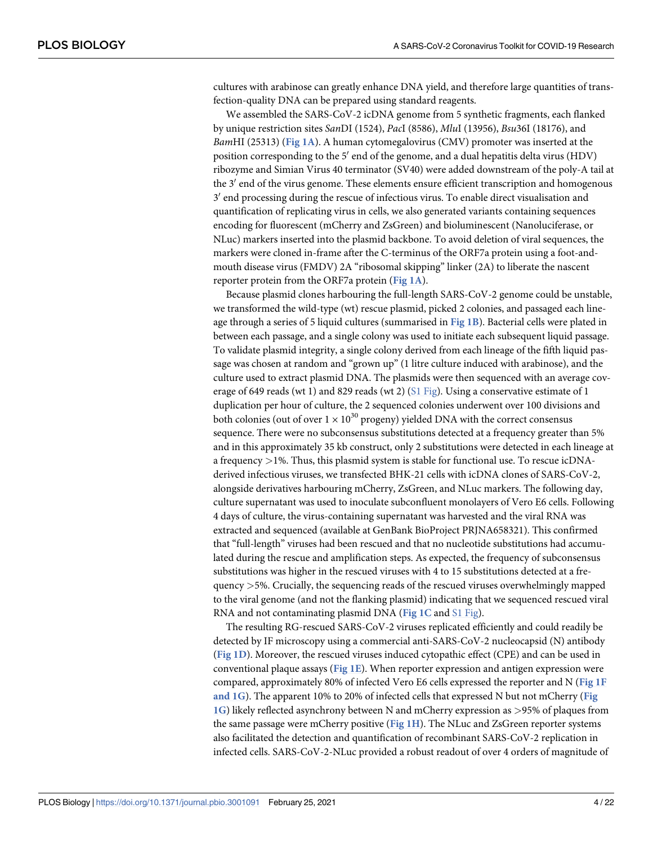<span id="page-3-0"></span>cultures with arabinose can greatly enhance DNA yield, and therefore large quantities of transfection-quality DNA can be prepared using standard reagents.

We assembled the SARS-CoV-2 icDNA genome from 5 synthetic fragments, each flanked by unique restriction sites SanDI (1524), PacI (8586), MluI (13956), Bsu36I (18176), and BamHI (25313) (**[Fig 1A](#page-4-0)**). A human cytomegalovirus (CMV) promoter was inserted at the position corresponding to the 5' end of the genome, and a dual hepatitis delta virus (HDV) ribozyme and Simian Virus 40 terminator (SV40) were added downstream of the poly-A tail at the 3<sup>'</sup> end of the virus genome. These elements ensure efficient transcription and homogenous 3 0 end processing during the rescue of infectious virus. To enable direct visualisation and quantification of replicating virus in cells, we also generated variants containing sequences encoding for fluorescent (mCherry and ZsGreen) and bioluminescent (Nanoluciferase, or NLuc) markers inserted into the plasmid backbone. To avoid deletion of viral sequences, the markers were cloned in-frame after the C-terminus of the ORF7a protein using a foot-andmouth disease virus (FMDV) 2A "ribosomal skipping" linker (2A) to liberate the nascent reporter protein from the ORF7a protein (**[Fig 1A](#page-4-0)**).

Because plasmid clones harbouring the full-length SARS-CoV-2 genome could be unstable, we transformed the wild-type (wt) rescue plasmid, picked 2 colonies, and passaged each lineage through a series of 5 liquid cultures (summarised in **[Fig 1B](#page-4-0)**). Bacterial cells were plated in between each passage, and a single colony was used to initiate each subsequent liquid passage. To validate plasmid integrity, a single colony derived from each lineage of the fifth liquid passage was chosen at random and "grown up" (1 litre culture induced with arabinose), and the culture used to extract plasmid DNA. The plasmids were then sequenced with an average coverage of 649 reads (wt 1) and 829 reads (wt 2) [\(S1 Fig\)](#page-17-0). Using a conservative estimate of 1 duplication per hour of culture, the 2 sequenced colonies underwent over 100 divisions and both colonies (out of over  $1 \times 10^{30}$  progeny) yielded DNA with the correct consensus sequence. There were no subconsensus substitutions detected at a frequency greater than 5% and in this approximately 35 kb construct, only 2 substitutions were detected in each lineage at a frequency *>*1%. Thus, this plasmid system is stable for functional use. To rescue icDNAderived infectious viruses, we transfected BHK-21 cells with icDNA clones of SARS-CoV-2, alongside derivatives harbouring mCherry, ZsGreen, and NLuc markers. The following day, culture supernatant was used to inoculate subconfluent monolayers of Vero E6 cells. Following 4 days of culture, the virus-containing supernatant was harvested and the viral RNA was extracted and sequenced (available at GenBank BioProject PRJNA658321). This confirmed that "full-length" viruses had been rescued and that no nucleotide substitutions had accumulated during the rescue and amplification steps. As expected, the frequency of subconsensus substitutions was higher in the rescued viruses with 4 to 15 substitutions detected at a frequency *>*5%. Crucially, the sequencing reads of the rescued viruses overwhelmingly mapped to the viral genome (and not the flanking plasmid) indicating that we sequenced rescued viral RNA and not contaminating plasmid DNA (**[Fig 1C](#page-4-0)** and [S1 Fig](#page-17-0)).

The resulting RG-rescued SARS-CoV-2 viruses replicated efficiently and could readily be detected by IF microscopy using a commercial anti-SARS-CoV-2 nucleocapsid (N) antibody (**[Fig 1D](#page-4-0)**). Moreover, the rescued viruses induced cytopathic effect (CPE) and can be used in conventional plaque assays (**[Fig 1E](#page-4-0)**). When reporter expression and antigen expression were compared, approximately 80% of infected Vero E6 cells expressed the reporter and N (**[Fig 1F](#page-4-0) [and 1G](#page-4-0)**). The apparent 10% to 20% of infected cells that expressed N but not mCherry (**[Fig](#page-4-0) [1G](#page-4-0)**) likely reflected asynchrony between N and mCherry expression as *>*95% of plaques from the same passage were mCherry positive (**[Fig 1H](#page-4-0)**). The NLuc and ZsGreen reporter systems also facilitated the detection and quantification of recombinant SARS-CoV-2 replication in infected cells. SARS-CoV-2-NLuc provided a robust readout of over 4 orders of magnitude of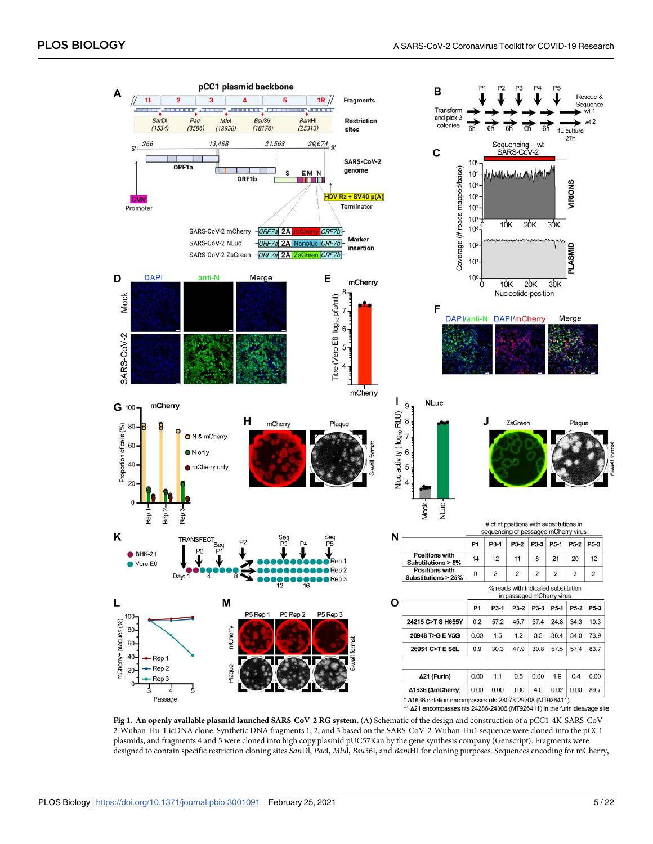<span id="page-4-0"></span>

\*\*  $\Delta$ 21 encompasses nts 24286-24306 (MT926411) in the furin cleavage site

**[Fig 1.](#page-3-0) An openly available plasmid launched SARS-CoV-2 RG system.** (A) Schematic of the design and construction of a pCC1-4K-SARS-CoV-2-Wuhan-Hu-1 icDNA clone. Synthetic DNA fragments 1, 2, and 3 based on the SARS-CoV-2-Wuhan-Hu1 sequence were cloned into the pCC1 plasmids, and fragments 4 and 5 were cloned into high copy plasmid pUC57Kan by the gene synthesis company (Genscript). Fragments were designed to contain specific restriction cloning sites SanDl, PacI, Mlul, Bsu36I, and BamHI for cloning purposes. Sequences encoding for mCherry,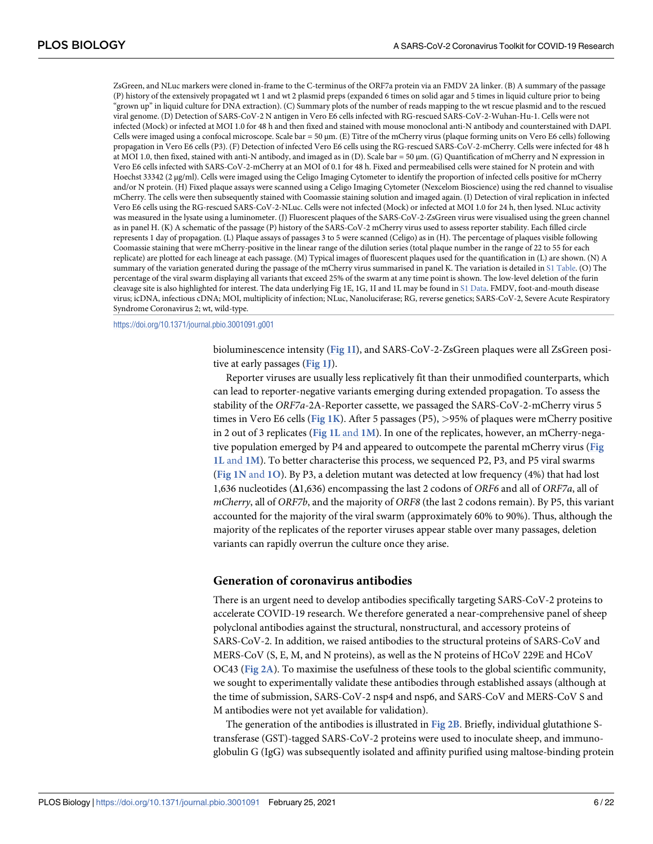<span id="page-5-0"></span>ZsGreen, and NLuc markers were cloned in-frame to the C-terminus of the ORF7a protein via an FMDV 2A linker. (B) A summary of the passage (P) history of the extensively propagated wt 1 and wt 2 plasmid preps (expanded 6 times on solid agar and 5 times in liquid culture prior to being "grown up" in liquid culture for DNA extraction). (C) Summary plots of the number of reads mapping to the wt rescue plasmid and to the rescued viral genome. (D) Detection of SARS-CoV-2 N antigen in Vero E6 cells infected with RG-rescued SARS-CoV-2-Wuhan-Hu-1. Cells were not infected (Mock) or infected at MOI 1.0 for 48 h and then fixed and stained with mouse monoclonal anti-N antibody and counterstained with DAPI. Cells were imaged using a confocal microscope. Scale bar = 50 μm. (E) Titre of the mCherry virus (plaque forming units on Vero E6 cells) following propagation in Vero E6 cells (P3). (F) Detection of infected Vero E6 cells using the RG-rescued SARS-CoV-2-mCherry. Cells were infected for 48 h at MOI 1.0, then fixed, stained with anti-N antibody, and imaged as in (D). Scale bar = 50 μm. (G) Quantification of mCherry and N expression in Vero E6 cells infected with SARS-CoV-2-mCherry at an MOI of 0.1 for 48 h. Fixed and permeabilised cells were stained for N protein and with Hoechst 33342 (2 μg/ml). Cells were imaged using the Celigo Imaging Cytometer to identify the proportion of infected cells positive for mCherry and/or N protein. (H) Fixed plaque assays were scanned using a Celigo Imaging Cytometer (Nexcelom Bioscience) using the red channel to visualise mCherry. The cells were then subsequently stained with Coomassie staining solution and imaged again. (I) Detection of viral replication in infected Vero E6 cells using the RG-rescued SARS-CoV-2-NLuc. Cells were not infected (Mock) or infected at MOI 1.0 for 24 h, then lysed. NLuc activity was measured in the lysate using a luminometer. (J) Fluorescent plaques of the SARS-CoV-2-ZsGreen virus were visualised using the green channel as in panel H. (K) A schematic of the passage (P) history of the SARS-CoV-2 mCherry virus used to assess reporter stability. Each filled circle represents 1 day of propagation. (L) Plaque assays of passages 3 to 5 were scanned (Celigo) as in (H). The percentage of plaques visible following Coomassie staining that were mCherry-positive in the linear range of the dilution series (total plaque number in the range of 22 to 55 for each replicate) are plotted for each lineage at each passage. (M) Typical images of fluorescent plaques used for the quantification in (L) are shown. (N) A summary of the variation generated during the passage of the mCherry virus summarised in panel K. The variation is detailed in [S1 Table.](#page-18-0) (O) The percentage of the viral swarm displaying all variants that exceed 25% of the swarm at any time point is shown. The low-level deletion of the furin cleavage site is also highlighted for interest. The data underlying Fig 1E, 1G, 1I and 1L may be found in [S1 Data](#page-18-0). FMDV, foot-and-mouth disease virus; icDNA, infectious cDNA; MOI, multiplicity of infection; NLuc, Nanoluciferase; RG, reverse genetics; SARS-CoV-2, Severe Acute Respiratory Syndrome Coronavirus 2; wt, wild-type.

<https://doi.org/10.1371/journal.pbio.3001091.g001>

bioluminescence intensity (**[Fig 1I](#page-4-0)**), and SARS-CoV-2-ZsGreen plaques were all ZsGreen positive at early passages (**[Fig 1J](#page-4-0)**).

Reporter viruses are usually less replicatively fit than their unmodified counterparts, which can lead to reporter-negative variants emerging during extended propagation. To assess the stability of the ORF7a-2A-Reporter cassette, we passaged the SARS-CoV-2-mCherry virus 5 times in Vero E6 cells (**[Fig 1K](#page-4-0)**). After 5 passages (P5), *>*95% of plaques were mCherry positive in 2 out of 3 replicates (**[Fig 1L](#page-4-0)** and **1M**). In one of the replicates, however, an mCherry-negative population emerged by P4 and appeared to outcompete the parental mCherry virus (**[Fig](#page-4-0) 1L** [and](#page-4-0) **1M**). To better characterise this process, we sequenced P2, P3, and P5 viral swarms (**[Fig 1N](#page-4-0)** and **1O**). By P3, a deletion mutant was detected at low frequency (4%) that had lost 1,636 nucleotides (**Δ**1,636) encompassing the last 2 codons of ORF6 and all of ORF7a, all of mCherry, all of ORF7b, and the majority of ORF8 (the last 2 codons remain). By P5, this variant accounted for the majority of the viral swarm (approximately 60% to 90%). Thus, although the majority of the replicates of the reporter viruses appear stable over many passages, deletion variants can rapidly overrun the culture once they arise.

#### **Generation of coronavirus antibodies**

There is an urgent need to develop antibodies specifically targeting SARS-CoV-2 proteins to accelerate COVID-19 research. We therefore generated a near-comprehensive panel of sheep polyclonal antibodies against the structural, nonstructural, and accessory proteins of SARS-CoV-2. In addition, we raised antibodies to the structural proteins of SARS-CoV and MERS-CoV (S, E, M, and N proteins), as well as the N proteins of HCoV 229E and HCoV OC43 (**[Fig 2A](#page-6-0)**). To maximise the usefulness of these tools to the global scientific community, we sought to experimentally validate these antibodies through established assays (although at the time of submission, SARS-CoV-2 nsp4 and nsp6, and SARS-CoV and MERS-CoV S and M antibodies were not yet available for validation).

The generation of the antibodies is illustrated in **[Fig 2B](#page-6-0)**. Briefly, individual glutathione Stransferase (GST)-tagged SARS-CoV-2 proteins were used to inoculate sheep, and immunoglobulin G (IgG) was subsequently isolated and affinity purified using maltose-binding protein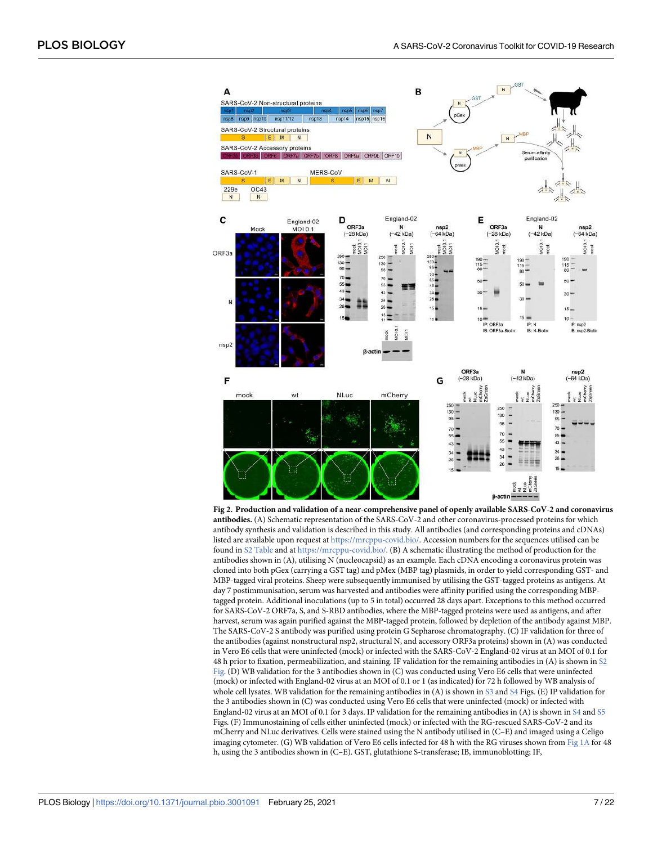<span id="page-6-0"></span>

**[Fig 2. P](#page-5-0)roduction and validation of a near-comprehensive panel of openly available SARS-CoV-2 and coronavirus antibodies.** (A) Schematic representation of the SARS-CoV-2 and other coronavirus-processed proteins for which antibody synthesis and validation is described in this study. All antibodies (and corresponding proteins and cDNAs) listed are available upon request at <https://mrcppu-covid.bio/>. Accession numbers for the sequences utilised can be found in [S2 Table](#page-18-0) and at <https://mrcppu-covid.bio/>. (B) A schematic illustrating the method of production for the antibodies shown in (A), utilising N (nucleocapsid) as an example. Each cDNA encoding a coronavirus protein was cloned into both pGex (carrying a GST tag) and pMex (MBP tag) plasmids, in order to yield corresponding GST- and MBP-tagged viral proteins. Sheep were subsequently immunised by utilising the GST-tagged proteins as antigens. At day 7 postimmunisation, serum was harvested and antibodies were affinity purified using the corresponding MBPtagged protein. Additional inoculations (up to 5 in total) occurred 28 days apart. Exceptions to this method occurred for SARS-CoV-2 ORF7a, S, and S-RBD antibodies, where the MBP-tagged proteins were used as antigens, and after harvest, serum was again purified against the MBP-tagged protein, followed by depletion of the antibody against MBP. The SARS-CoV-2 S antibody was purified using protein G Sepharose chromatography. (C) IF validation for three of the antibodies (against nonstructural nsp2, structural N, and accessory ORF3a proteins) shown in (A) was conducted in Vero E6 cells that were uninfected (mock) or infected with the SARS-CoV-2 England-02 virus at an MOI of 0.1 for 48 h prior to fixation, permeabilization, and staining. IF validation for the remaining antibodies in (A) is shown in [S2](#page-17-0) [Fig](#page-17-0). (D) WB validation for the 3 antibodies shown in (C) was conducted using Vero E6 cells that were uninfected (mock) or infected with England-02 virus at an MOI of 0.1 or 1 (as indicated) for 72 h followed by WB analysis of whole cell lysates. WB validation for the remaining antibodies in (A) is shown in  $S_3$  and  $S_4$  Figs. (E) IP validation for the 3 antibodies shown in (C) was conducted using Vero E6 cells that were uninfected (mock) or infected with England-02 virus at an MOI of 0.1 for 3 days. IP validation for the remaining antibodies in (A) is shown in [S4](#page-17-0) and [S5](#page-17-0) Figs. (F) Immunostaining of cells either uninfected (mock) or infected with the RG-rescued SARS-CoV-2 and its mCherry and NLuc derivatives. Cells were stained using the N antibody utilised in (C–E) and imaged using a Celigo imaging cytometer. (G) WB validation of Vero E6 cells infected for 48 h with the RG viruses shown from [Fig 1A](#page-4-0) for 48 h, using the 3 antibodies shown in (C–E). GST, glutathione S-transferase; IB, immunoblotting; IF,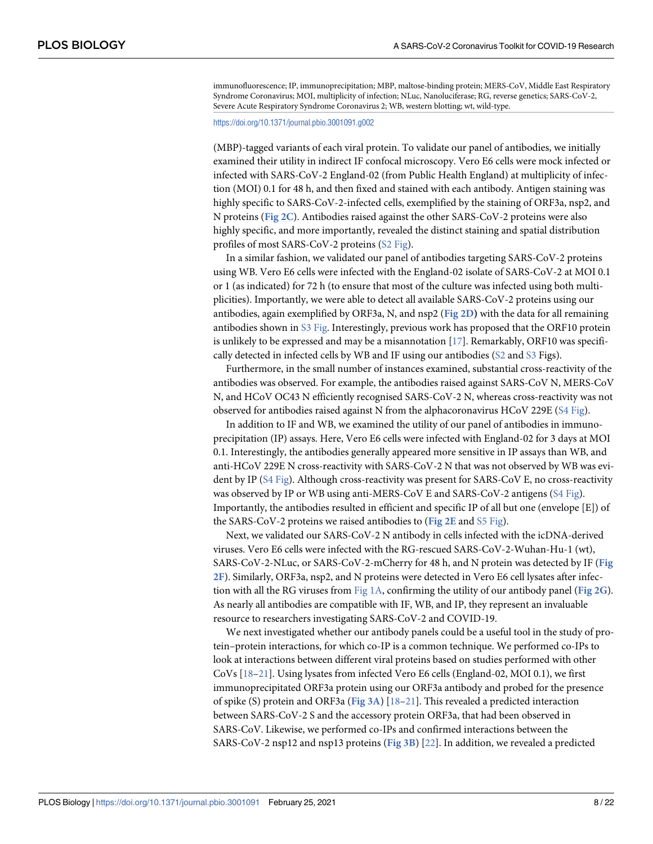<span id="page-7-0"></span>immunofluorescence; IP, immunoprecipitation; MBP, maltose-binding protein; MERS-CoV, Middle East Respiratory Syndrome Coronavirus; MOI, multiplicity of infection; NLuc, Nanoluciferase; RG, reverse genetics; SARS-CoV-2, Severe Acute Respiratory Syndrome Coronavirus 2; WB, western blotting; wt, wild-type.

<https://doi.org/10.1371/journal.pbio.3001091.g002>

(MBP)-tagged variants of each viral protein. To validate our panel of antibodies, we initially examined their utility in indirect IF confocal microscopy. Vero E6 cells were mock infected or infected with SARS-CoV-2 England-02 (from Public Health England) at multiplicity of infection (MOI) 0.1 for 48 h, and then fixed and stained with each antibody. Antigen staining was highly specific to SARS-CoV-2-infected cells, exemplified by the staining of ORF3a, nsp2, and N proteins (**[Fig 2C](#page-6-0)**). Antibodies raised against the other SARS-CoV-2 proteins were also highly specific, and more importantly, revealed the distinct staining and spatial distribution profiles of most SARS-CoV-2 proteins ([S2 Fig](#page-17-0)).

In a similar fashion, we validated our panel of antibodies targeting SARS-CoV-2 proteins using WB. Vero E6 cells were infected with the England-02 isolate of SARS-CoV-2 at MOI 0.1 or 1 (as indicated) for 72 h (to ensure that most of the culture was infected using both multiplicities). Importantly, we were able to detect all available SARS-CoV-2 proteins using our antibodies, again exemplified by ORF3a, N, and nsp2 (**[Fig 2D](#page-6-0))** with the data for all remaining antibodies shown in [S3 Fig.](#page-17-0) Interestingly, previous work has proposed that the ORF10 protein is unlikely to be expressed and may be a misannotation  $[17]$ . Remarkably, ORF10 was specifically detected in infected cells by WB and IF using our antibodies [\(S2](#page-17-0) and [S3](#page-17-0) Figs).

Furthermore, in the small number of instances examined, substantial cross-reactivity of the antibodies was observed. For example, the antibodies raised against SARS-CoV N, MERS-CoV N, and HCoV OC43 N efficiently recognised SARS-CoV-2 N, whereas cross-reactivity was not observed for antibodies raised against N from the alphacoronavirus HCoV 229E ([S4 Fig\)](#page-17-0).

In addition to IF and WB, we examined the utility of our panel of antibodies in immunoprecipitation (IP) assays. Here, Vero E6 cells were infected with England-02 for 3 days at MOI 0.1. Interestingly, the antibodies generally appeared more sensitive in IP assays than WB, and anti-HCoV 229E N cross-reactivity with SARS-CoV-2 N that was not observed by WB was evi-dent by IP ([S4 Fig\)](#page-17-0). Although cross-reactivity was present for SARS-CoV E, no cross-reactivity was observed by IP or WB using anti-MERS-CoV E and SARS-CoV-2 antigens ([S4 Fig](#page-17-0)). Importantly, the antibodies resulted in efficient and specific IP of all but one (envelope [E]) of the SARS-CoV-2 proteins we raised antibodies to (**[Fig 2E](#page-6-0)** and [S5 Fig\)](#page-17-0).

Next, we validated our SARS-CoV-2 N antibody in cells infected with the icDNA-derived viruses. Vero E6 cells were infected with the RG-rescued SARS-CoV-2-Wuhan-Hu-1 (wt), SARS-CoV-2-NLuc, or SARS-CoV-2-mCherry for 48 h, and N protein was detected by IF (**[Fig](#page-6-0) [2F](#page-6-0)**). Similarly, ORF3a, nsp2, and N proteins were detected in Vero E6 cell lysates after infection with all the RG viruses from [Fig 1A](#page-4-0), confirming the utility of our antibody panel (**[Fig 2G](#page-6-0)**). As nearly all antibodies are compatible with IF, WB, and IP, they represent an invaluable resource to researchers investigating SARS-CoV-2 and COVID-19.

We next investigated whether our antibody panels could be a useful tool in the study of protein–protein interactions, for which co-IP is a common technique. We performed co-IPs to look at interactions between different viral proteins based on studies performed with other CoVs  $[18-21]$  $[18-21]$  $[18-21]$  $[18-21]$ . Using lysates from infected Vero E6 cells (England-02, MOI 0.1), we first immunoprecipitated ORF3a protein using our ORF3a antibody and probed for the presence of spike (S) protein and ORF3a (**[Fig 3A](#page-8-0)**) [[18–21\]](#page-20-0). This revealed a predicted interaction between SARS-CoV-2 S and the accessory protein ORF3a, that had been observed in SARS-CoV. Likewise, we performed co-IPs and confirmed interactions between the SARS-CoV-2 nsp12 and nsp13 proteins (**[Fig 3B](#page-8-0)**) [[22](#page-20-0)]. In addition, we revealed a predicted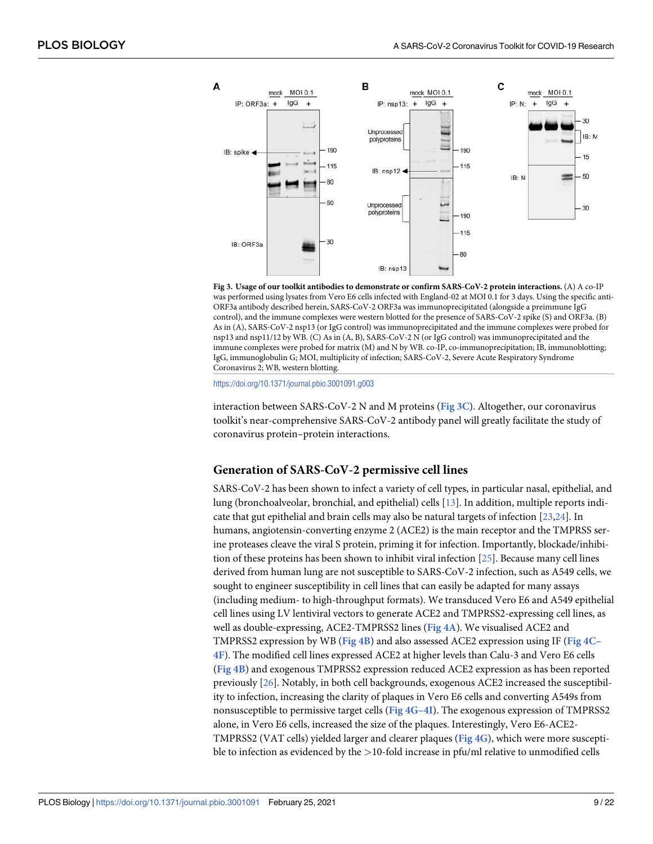<span id="page-8-0"></span>

**[Fig 3. U](#page-7-0)sage of our toolkit antibodies to demonstrate or confirm SARS-CoV-2 protein interactions.** (A) A co-IP was performed using lysates from Vero E6 cells infected with England-02 at MOI 0.1 for 3 days. Using the specific anti-ORF3a antibody described herein, SARS-CoV-2 ORF3a was immunoprecipitated (alongside a preimmune IgG control), and the immune complexes were western blotted for the presence of SARS-CoV-2 spike (S) and ORF3a. (B) As in (A), SARS-CoV-2 nsp13 (or IgG control) was immunoprecipitated and the immune complexes were probed for nsp13 and nsp11/12 by WB. (C) As in (A, B), SARS-CoV-2 N (or IgG control) was immunoprecipitated and the immune complexes were probed for matrix (M) and N by WB. co-IP, co-immunoprecipitation; IB, immunoblotting; IgG, immunoglobulin G; MOI, multiplicity of infection; SARS-CoV-2, Severe Acute Respiratory Syndrome Coronavirus 2; WB, western blotting.

#### <https://doi.org/10.1371/journal.pbio.3001091.g003>

interaction between SARS-CoV-2 N and M proteins (**Fig 3C**). Altogether, our coronavirus toolkit's near-comprehensive SARS-CoV-2 antibody panel will greatly facilitate the study of coronavirus protein–protein interactions.

#### **Generation of SARS-CoV-2 permissive cell lines**

SARS-CoV-2 has been shown to infect a variety of cell types, in particular nasal, epithelial, and lung (bronchoalveolar, bronchial, and epithelial) cells [[13](#page-20-0)]. In addition, multiple reports indicate that gut epithelial and brain cells may also be natural targets of infection [\[23,24](#page-20-0)]. In humans, angiotensin-converting enzyme 2 (ACE2) is the main receptor and the TMPRSS serine proteases cleave the viral S protein, priming it for infection. Importantly, blockade/inhibition of these proteins has been shown to inhibit viral infection [[25](#page-20-0)]. Because many cell lines derived from human lung are not susceptible to SARS-CoV-2 infection, such as A549 cells, we sought to engineer susceptibility in cell lines that can easily be adapted for many assays (including medium- to high-throughput formats). We transduced Vero E6 and A549 epithelial cell lines using LV lentiviral vectors to generate ACE2 and TMPRSS2-expressing cell lines, as well as double-expressing, ACE2-TMPRSS2 lines (**[Fig 4A](#page-10-0)**). We visualised ACE2 and TMPRSS2 expression by WB (**[Fig 4B](#page-10-0)**) and also assessed ACE2 expression using IF (**[Fig 4C–](#page-10-0) [4F](#page-10-0)**). The modified cell lines expressed ACE2 at higher levels than Calu-3 and Vero E6 cells (**[Fig 4B](#page-10-0)**) and exogenous TMPRSS2 expression reduced ACE2 expression as has been reported previously [[26](#page-20-0)]. Notably, in both cell backgrounds, exogenous ACE2 increased the susceptibility to infection, increasing the clarity of plaques in Vero E6 cells and converting A549s from nonsusceptible to permissive target cells (**[Fig 4G–4I](#page-10-0)**). The exogenous expression of TMPRSS2 alone, in Vero E6 cells, increased the size of the plaques. Interestingly, Vero E6-ACE2- TMPRSS2 (VAT cells) yielded larger and clearer plaques (**[Fig 4G](#page-10-0)**), which were more susceptible to infection as evidenced by the *>*10-fold increase in pfu/ml relative to unmodified cells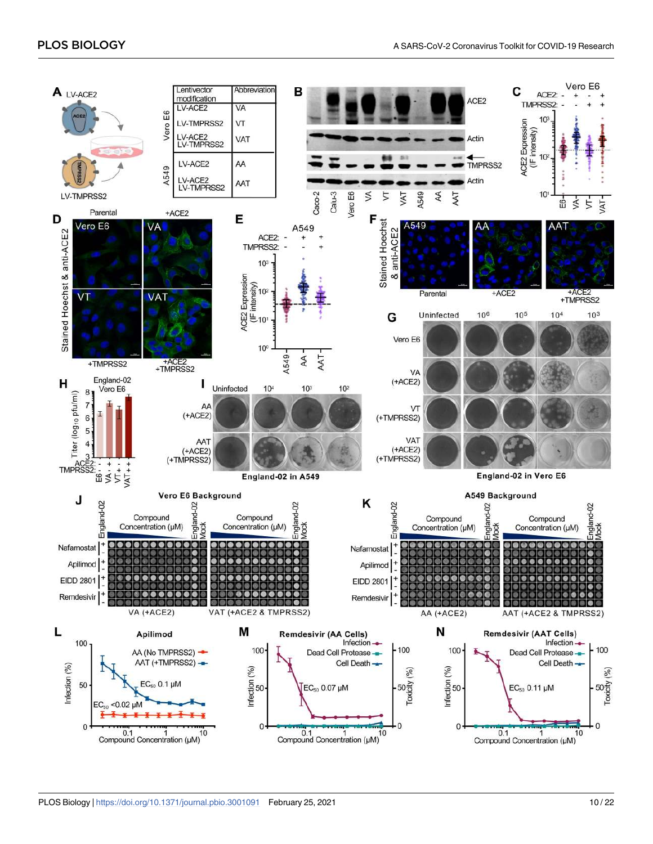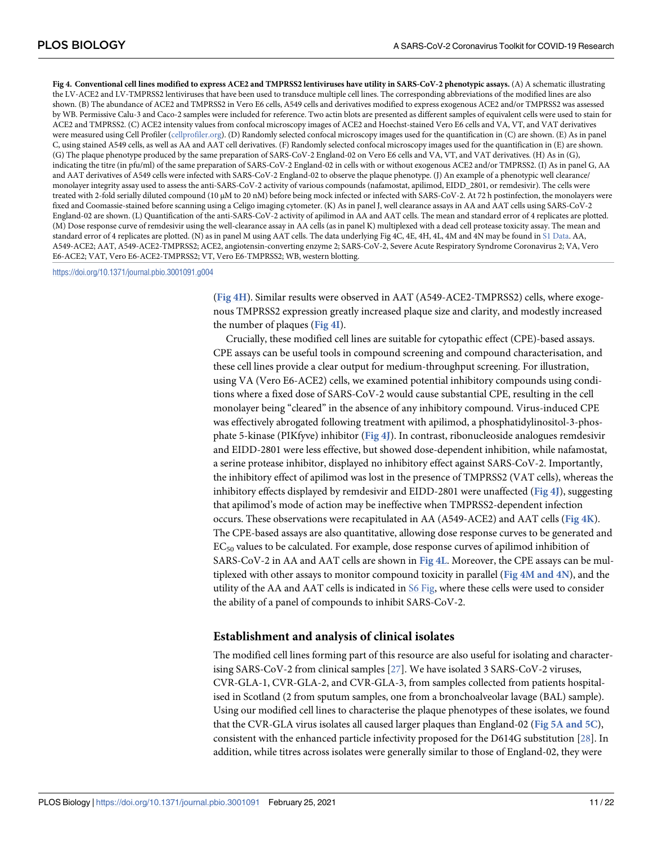<span id="page-10-0"></span>**[Fig 4.](#page-8-0) Conventional cell lines modified to express ACE2 and TMPRSS2 lentiviruses have utility in SARS-CoV-2 phenotypic assays.** (A) A schematic illustrating the LV-ACE2 and LV-TMPRSS2 lentiviruses that have been used to transduce multiple cell lines. The corresponding abbreviations of the modified lines are also shown. (B) The abundance of ACE2 and TMPRSS2 in Vero E6 cells, A549 cells and derivatives modified to express exogenous ACE2 and/or TMPRSS2 was assessed by WB. Permissive Calu-3 and Caco-2 samples were included for reference. Two actin blots are presented as different samples of equivalent cells were used to stain for ACE2 and TMPRSS2. (C) ACE2 intensity values from confocal microscopy images of ACE2 and Hoechst-stained Vero E6 cells and VA, VT, and VAT derivatives were measured using Cell Profiler ([cellprofiler.org\)](http://cellprofiler.org/). (D) Randomly selected confocal microscopy images used for the quantification in (C) are shown. (E) As in panel C, using stained A549 cells, as well as AA and AAT cell derivatives. (F) Randomly selected confocal microscopy images used for the quantification in (E) are shown. (G) The plaque phenotype produced by the same preparation of SARS-CoV-2 England-02 on Vero E6 cells and VA, VT, and VAT derivatives. (H) As in (G), indicating the titre (in pfu/ml) of the same preparation of SARS-CoV-2 England-02 in cells with or without exogenous ACE2 and/or TMPRSS2. (I) As in panel G, AA and AAT derivatives of A549 cells were infected with SARS-CoV-2 England-02 to observe the plaque phenotype. (J) An example of a phenotypic well clearance/ monolayer integrity assay used to assess the anti-SARS-CoV-2 activity of various compounds (nafamostat, apilimod, EIDD\_2801, or remdesivir). The cells were treated with 2-fold serially diluted compound (10 μM to 20 nM) before being mock infected or infected with SARS-CoV-2. At 72 h postinfection, the monolayers were fixed and Coomassie-stained before scanning using a Celigo imaging cytometer. (K) As in panel J, well clearance assays in AA and AAT cells using SARS-CoV-2 England-02 are shown. (L) Quantification of the anti-SARS-CoV-2 activity of apilimod in AA and AAT cells. The mean and standard error of 4 replicates are plotted. (M) Dose response curve of remdesivir using the well-clearance assay in AA cells (as in panel K) multiplexed with a dead cell protease toxicity assay. The mean and standard error of 4 replicates are plotted. (N) as in panel M using AAT cells. The data underlying Fig 4C, 4E, 4H, 4L, 4M and 4N may be found in [S1 Data.](#page-18-0) AA, A549-ACE2; AAT, A549-ACE2-TMPRSS2; ACE2, angiotensin-converting enzyme 2; SARS-CoV-2, Severe Acute Respiratory Syndrome Coronavirus 2; VA, Vero E6-ACE2; VAT, Vero E6-ACE2-TMPRSS2; VT, Vero E6-TMPRSS2; WB, western blotting.

<https://doi.org/10.1371/journal.pbio.3001091.g004>

(**Fig 4H**). Similar results were observed in AAT (A549-ACE2-TMPRSS2) cells, where exogenous TMPRSS2 expression greatly increased plaque size and clarity, and modestly increased the number of plaques (**Fig 4I**).

Crucially, these modified cell lines are suitable for cytopathic effect (CPE)-based assays. CPE assays can be useful tools in compound screening and compound characterisation, and these cell lines provide a clear output for medium-throughput screening. For illustration, using VA (Vero E6-ACE2) cells, we examined potential inhibitory compounds using conditions where a fixed dose of SARS-CoV-2 would cause substantial CPE, resulting in the cell monolayer being "cleared" in the absence of any inhibitory compound. Virus-induced CPE was effectively abrogated following treatment with apilimod, a phosphatidylinositol-3-phosphate 5-kinase (PIKfyve) inhibitor (**Fig 4J**). In contrast, ribonucleoside analogues remdesivir and EIDD-2801 were less effective, but showed dose-dependent inhibition, while nafamostat, a serine protease inhibitor, displayed no inhibitory effect against SARS-CoV-2. Importantly, the inhibitory effect of apilimod was lost in the presence of TMPRSS2 (VAT cells), whereas the inhibitory effects displayed by remdesivir and EIDD-2801 were unaffected (**Fig 4J**), suggesting that apilimod's mode of action may be ineffective when TMPRSS2-dependent infection occurs. These observations were recapitulated in AA (A549-ACE2) and AAT cells (**Fig 4K**). The CPE-based assays are also quantitative, allowing dose response curves to be generated and  $EC<sub>50</sub>$  values to be calculated. For example, dose response curves of apilimod inhibition of SARS-CoV-2 in AA and AAT cells are shown in **Fig 4L**. Moreover, the CPE assays can be multiplexed with other assays to monitor compound toxicity in parallel (**Fig 4M and 4N**), and the utility of the AA and AAT cells is indicated in [S6 Fig,](#page-18-0) where these cells were used to consider the ability of a panel of compounds to inhibit SARS-CoV-2.

#### **Establishment and analysis of clinical isolates**

The modified cell lines forming part of this resource are also useful for isolating and characterising SARS-CoV-2 from clinical samples [[27](#page-21-0)]. We have isolated 3 SARS-CoV-2 viruses, CVR-GLA-1, CVR-GLA-2, and CVR-GLA-3, from samples collected from patients hospitalised in Scotland (2 from sputum samples, one from a bronchoalveolar lavage (BAL) sample). Using our modified cell lines to characterise the plaque phenotypes of these isolates, we found that the CVR-GLA virus isolates all caused larger plaques than England-02 (**[Fig 5A and 5C](#page-11-0)**), consistent with the enhanced particle infectivity proposed for the D614G substitution [\[28\]](#page-21-0). In addition, while titres across isolates were generally similar to those of England-02, they were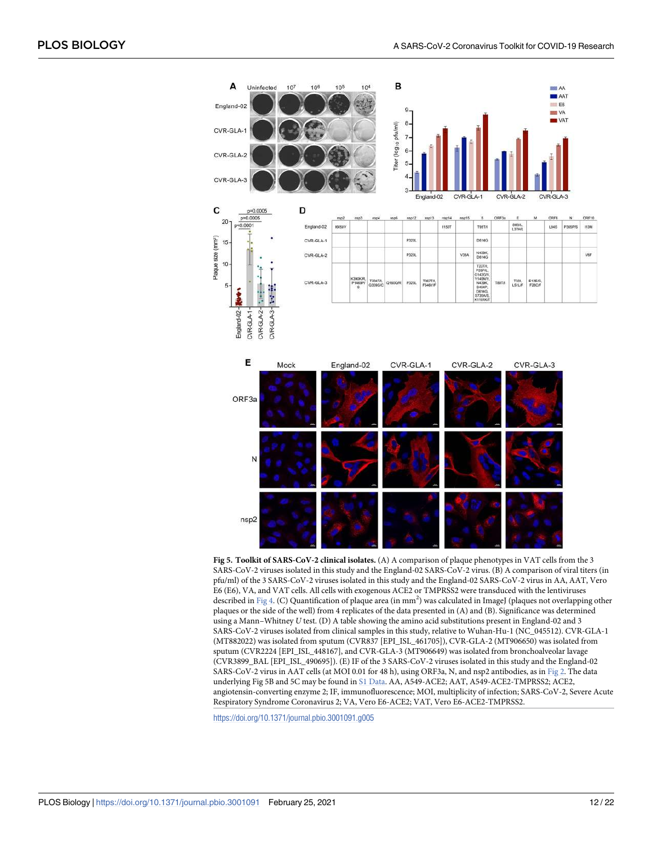<span id="page-11-0"></span>

**[Fig 5. T](#page-10-0)oolkit of SARS-CoV-2 clinical isolates.** (A) A comparison of plaque phenotypes in VAT cells from the 3 SARS-CoV-2 viruses isolated in this study and the England-02 SARS-CoV-2 virus. (B) A comparison of viral titers (in pfu/ml) of the 3 SARS-CoV-2 viruses isolated in this study and the England-02 SARS-CoV-2 virus in AA, AAT, Vero E6 (E6), VA, and VAT cells. All cells with exogenous ACE2 or TMPRSS2 were transduced with the lentiviruses described in [Fig 4](#page-10-0). (C) Quantification of plaque area (in  $mm^2$ ) was calculated in ImageJ (plaques not overlapping other plaques or the side of the well) from 4 replicates of the data presented in (A) and (B). Significance was determined using a Mann–Whitney U test. (D) A table showing the amino acid substitutions present in England-02 and 3 SARS-CoV-2 viruses isolated from clinical samples in this study, relative to Wuhan-Hu-1 (NC\_045512). CVR-GLA-1 (MT882022) was isolated from sputum (CVR837 [EPI\_ISL\_461705]), CVR-GLA-2 (MT906650) was isolated from sputum (CVR2224 [EPI\_ISL\_448167], and CVR-GLA-3 (MT906649) was isolated from bronchoalveolar lavage (CVR3899\_BAL [EPI\_ISL\_490695]). (E) IF of the 3 SARS-CoV-2 viruses isolated in this study and the England-02 SARS-CoV-2 virus in AAT cells (at MOI 0.01 for 48 h), using ORF3a, N, and nsp2 antibodies, as in [Fig 2](#page-6-0). The data underlying Fig 5B and 5C may be found in [S1 Data](#page-18-0). AA, A549-ACE2; AAT, A549-ACE2-TMPRSS2; ACE2, angiotensin-converting enzyme 2; IF, immunofluorescence; MOI, multiplicity of infection; SARS-CoV-2, Severe Acute Respiratory Syndrome Coronavirus 2; VA, Vero E6-ACE2; VAT, Vero E6-ACE2-TMPRSS2.

<https://doi.org/10.1371/journal.pbio.3001091.g005>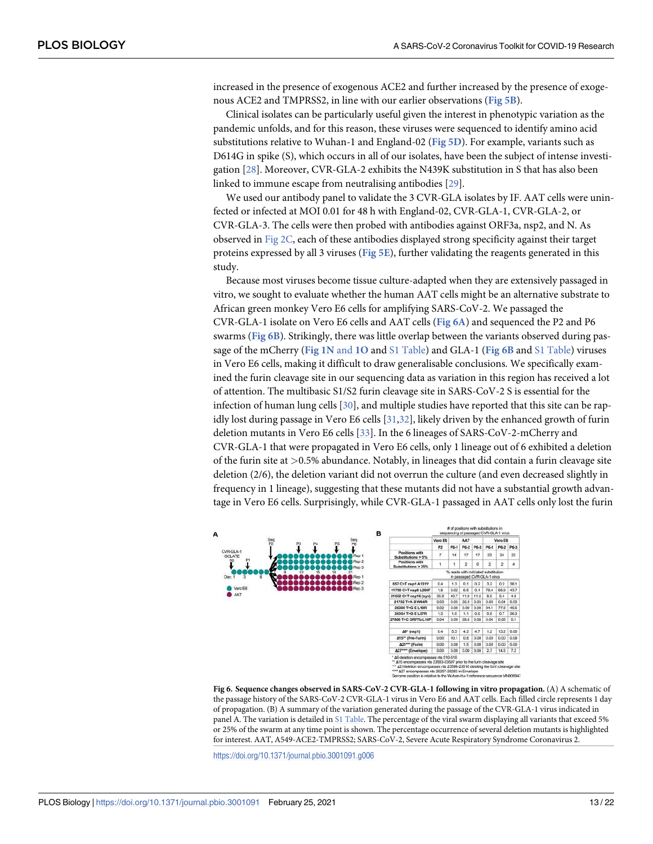<span id="page-12-0"></span>increased in the presence of exogenous ACE2 and further increased by the presence of exogenous ACE2 and TMPRSS2, in line with our earlier observations (**[Fig 5B](#page-11-0)**).

Clinical isolates can be particularly useful given the interest in phenotypic variation as the pandemic unfolds, and for this reason, these viruses were sequenced to identify amino acid substitutions relative to Wuhan-1 and England-02 (**[Fig 5D](#page-11-0)**). For example, variants such as D614G in spike (S), which occurs in all of our isolates, have been the subject of intense investigation [[28](#page-21-0)]. Moreover, CVR-GLA-2 exhibits the N439K substitution in S that has also been linked to immune escape from neutralising antibodies [[29](#page-21-0)].

We used our antibody panel to validate the 3 CVR-GLA isolates by IF. AAT cells were uninfected or infected at MOI 0.01 for 48 h with England-02, CVR-GLA-1, CVR-GLA-2, or CVR-GLA-3. The cells were then probed with antibodies against ORF3a, nsp2, and N. As observed in [Fig 2C,](#page-6-0) each of these antibodies displayed strong specificity against their target proteins expressed by all 3 viruses (**[Fig 5E](#page-11-0)**), further validating the reagents generated in this study.

Because most viruses become tissue culture-adapted when they are extensively passaged in vitro, we sought to evaluate whether the human AAT cells might be an alternative substrate to African green monkey Vero E6 cells for amplifying SARS-CoV-2. We passaged the CVR-GLA-1 isolate on Vero E6 cells and AAT cells (**Fig 6A**) and sequenced the P2 and P6 swarms (**Fig 6B**). Strikingly, there was little overlap between the variants observed during passage of the mCherry (**[Fig 1N](#page-4-0)** and **1O** and [S1 Table](#page-18-0)) and GLA-1 (**Fig 6B** and [S1 Table](#page-18-0)) viruses in Vero E6 cells, making it difficult to draw generalisable conclusions. We specifically examined the furin cleavage site in our sequencing data as variation in this region has received a lot of attention. The multibasic S1/S2 furin cleavage site in SARS-CoV-2 S is essential for the infection of human lung cells [[30\]](#page-21-0), and multiple studies have reported that this site can be rapidly lost during passage in Vero E6 cells [[31,32\]](#page-21-0), likely driven by the enhanced growth of furin deletion mutants in Vero E6 cells [\[33\]](#page-21-0). In the 6 lineages of SARS-CoV-2-mCherry and CVR-GLA-1 that were propagated in Vero E6 cells, only 1 lineage out of 6 exhibited a deletion of the furin site at *>*0.5% abundance. Notably, in lineages that did contain a furin cleavage site deletion (2/6), the deletion variant did not overrun the culture (and even decreased slightly in frequency in 1 lineage), suggesting that these mutants did not have a substantial growth advantage in Vero E6 cells. Surprisingly, while CVR-GLA-1 passaged in AAT cells only lost the furin



**Fig 6. Sequence changes observed in SARS-CoV-2 CVR-GLA-1 following in vitro propagation.** (A) A schematic of the passage history of the SARS-CoV-2 CVR-GLA-1 virus in Vero E6 and AAT cells. Each filled circle represents 1 day of propagation. (B) A summary of the variation generated during the passage of the CVR-GLA-1 virus indicated in panel A. The variation is detailed in [S1 Table](#page-18-0). The percentage of the viral swarm displaying all variants that exceed 5% or 25% of the swarm at any time point is shown. The percentage occurrence of several deletion mutants is highlighted for interest. AAT, A549-ACE2-TMPRSS2; SARS-CoV-2, Severe Acute Respiratory Syndrome Coronavirus 2.

<https://doi.org/10.1371/journal.pbio.3001091.g006>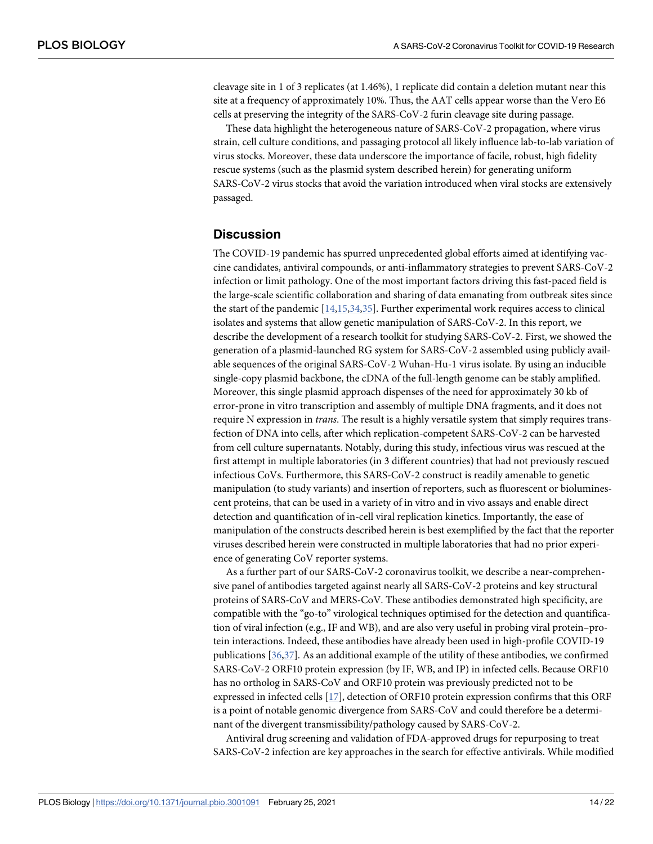<span id="page-13-0"></span>cleavage site in 1 of 3 replicates (at 1.46%), 1 replicate did contain a deletion mutant near this site at a frequency of approximately 10%. Thus, the AAT cells appear worse than the Vero E6 cells at preserving the integrity of the SARS-CoV-2 furin cleavage site during passage.

These data highlight the heterogeneous nature of SARS-CoV-2 propagation, where virus strain, cell culture conditions, and passaging protocol all likely influence lab-to-lab variation of virus stocks. Moreover, these data underscore the importance of facile, robust, high fidelity rescue systems (such as the plasmid system described herein) for generating uniform SARS-CoV-2 virus stocks that avoid the variation introduced when viral stocks are extensively passaged.

### **Discussion**

The COVID-19 pandemic has spurred unprecedented global efforts aimed at identifying vaccine candidates, antiviral compounds, or anti-inflammatory strategies to prevent SARS-CoV-2 infection or limit pathology. One of the most important factors driving this fast-paced field is the large-scale scientific collaboration and sharing of data emanating from outbreak sites since the start of the pandemic [[14,15,](#page-20-0)[34,35](#page-21-0)]. Further experimental work requires access to clinical isolates and systems that allow genetic manipulation of SARS-CoV-2. In this report, we describe the development of a research toolkit for studying SARS-CoV-2. First, we showed the generation of a plasmid-launched RG system for SARS-CoV-2 assembled using publicly available sequences of the original SARS-CoV-2 Wuhan-Hu-1 virus isolate. By using an inducible single-copy plasmid backbone, the cDNA of the full-length genome can be stably amplified. Moreover, this single plasmid approach dispenses of the need for approximately 30 kb of error-prone in vitro transcription and assembly of multiple DNA fragments, and it does not require N expression in trans. The result is a highly versatile system that simply requires transfection of DNA into cells, after which replication-competent SARS-CoV-2 can be harvested from cell culture supernatants. Notably, during this study, infectious virus was rescued at the first attempt in multiple laboratories (in 3 different countries) that had not previously rescued infectious CoVs. Furthermore, this SARS-CoV-2 construct is readily amenable to genetic manipulation (to study variants) and insertion of reporters, such as fluorescent or bioluminescent proteins, that can be used in a variety of in vitro and in vivo assays and enable direct detection and quantification of in-cell viral replication kinetics. Importantly, the ease of manipulation of the constructs described herein is best exemplified by the fact that the reporter viruses described herein were constructed in multiple laboratories that had no prior experience of generating CoV reporter systems.

As a further part of our SARS-CoV-2 coronavirus toolkit, we describe a near-comprehensive panel of antibodies targeted against nearly all SARS-CoV-2 proteins and key structural proteins of SARS-CoV and MERS-CoV. These antibodies demonstrated high specificity, are compatible with the "go-to" virological techniques optimised for the detection and quantification of viral infection (e.g., IF and WB), and are also very useful in probing viral protein–protein interactions. Indeed, these antibodies have already been used in high-profile COVID-19 publications [[36,37\]](#page-21-0). As an additional example of the utility of these antibodies, we confirmed SARS-CoV-2 ORF10 protein expression (by IF, WB, and IP) in infected cells. Because ORF10 has no ortholog in SARS-CoV and ORF10 protein was previously predicted not to be expressed in infected cells [\[17\]](#page-20-0), detection of ORF10 protein expression confirms that this ORF is a point of notable genomic divergence from SARS-CoV and could therefore be a determinant of the divergent transmissibility/pathology caused by SARS-CoV-2.

Antiviral drug screening and validation of FDA-approved drugs for repurposing to treat SARS-CoV-2 infection are key approaches in the search for effective antivirals. While modified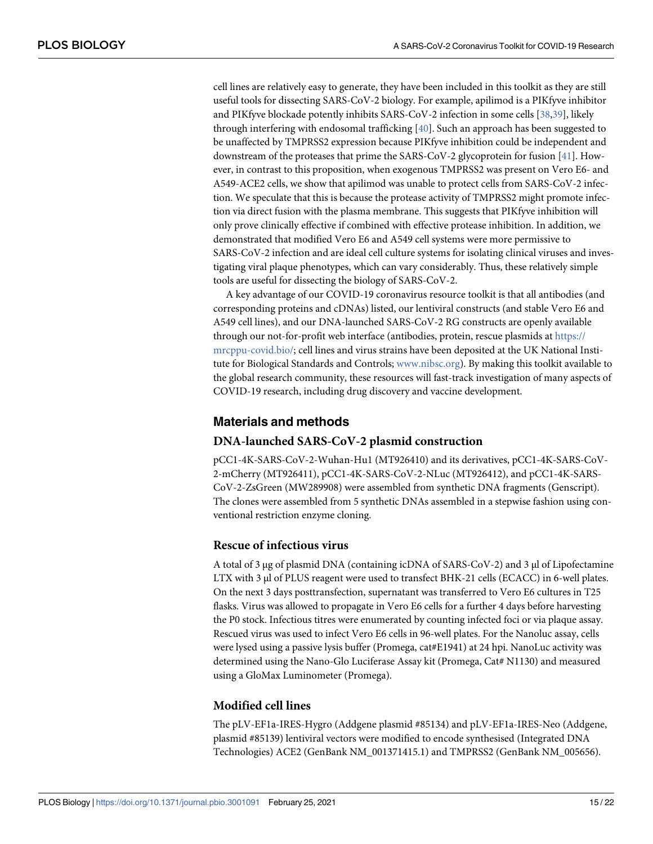<span id="page-14-0"></span>cell lines are relatively easy to generate, they have been included in this toolkit as they are still useful tools for dissecting SARS-CoV-2 biology. For example, apilimod is a PIKfyve inhibitor and PIKfyve blockade potently inhibits SARS-CoV-2 infection in some cells [\[38,39\]](#page-21-0), likely through interfering with endosomal trafficking [\[40\]](#page-21-0). Such an approach has been suggested to be unaffected by TMPRSS2 expression because PIKfyve inhibition could be independent and downstream of the proteases that prime the SARS-CoV-2 glycoprotein for fusion [[41](#page-21-0)]. However, in contrast to this proposition, when exogenous TMPRSS2 was present on Vero E6- and A549-ACE2 cells, we show that apilimod was unable to protect cells from SARS-CoV-2 infection. We speculate that this is because the protease activity of TMPRSS2 might promote infection via direct fusion with the plasma membrane. This suggests that PIKfyve inhibition will only prove clinically effective if combined with effective protease inhibition. In addition, we demonstrated that modified Vero E6 and A549 cell systems were more permissive to SARS-CoV-2 infection and are ideal cell culture systems for isolating clinical viruses and investigating viral plaque phenotypes, which can vary considerably. Thus, these relatively simple tools are useful for dissecting the biology of SARS-CoV-2.

A key advantage of our COVID-19 coronavirus resource toolkit is that all antibodies (and corresponding proteins and cDNAs) listed, our lentiviral constructs (and stable Vero E6 and A549 cell lines), and our DNA-launched SARS-CoV-2 RG constructs are openly available through our not-for-profit web interface (antibodies, protein, rescue plasmids at [https://](https://mrcppu-covid.bio/) [mrcppu-covid.bio/](https://mrcppu-covid.bio/); cell lines and virus strains have been deposited at the UK National Institute for Biological Standards and Controls; [www.nibsc.org](http://www.nibsc.org/)). By making this toolkit available to the global research community, these resources will fast-track investigation of many aspects of COVID-19 research, including drug discovery and vaccine development.

## **Materials and methods**

## **DNA-launched SARS-CoV-2 plasmid construction**

pCC1-4K-SARS-CoV-2-Wuhan-Hu1 (MT926410) and its derivatives, pCC1-4K-SARS-CoV-2-mCherry (MT926411), pCC1-4K-SARS-CoV-2-NLuc (MT926412), and pCC1-4K-SARS-CoV-2-ZsGreen (MW289908) were assembled from synthetic DNA fragments (Genscript). The clones were assembled from 5 synthetic DNAs assembled in a stepwise fashion using conventional restriction enzyme cloning.

## **Rescue of infectious virus**

A total of 3 μg of plasmid DNA (containing icDNA of SARS-CoV-2) and 3 μl of Lipofectamine LTX with 3 μl of PLUS reagent were used to transfect BHK-21 cells (ECACC) in 6-well plates. On the next 3 days posttransfection, supernatant was transferred to Vero E6 cultures in T25 flasks. Virus was allowed to propagate in Vero E6 cells for a further 4 days before harvesting the P0 stock. Infectious titres were enumerated by counting infected foci or via plaque assay. Rescued virus was used to infect Vero E6 cells in 96-well plates. For the Nanoluc assay, cells were lysed using a passive lysis buffer (Promega, cat#E1941) at 24 hpi. NanoLuc activity was determined using the Nano-Glo Luciferase Assay kit (Promega, Cat# N1130) and measured using a GloMax Luminometer (Promega).

## **Modified cell lines**

The pLV-EF1a-IRES-Hygro (Addgene plasmid #85134) and pLV-EF1a-IRES-Neo (Addgene, plasmid #85139) lentiviral vectors were modified to encode synthesised (Integrated DNA Technologies) ACE2 (GenBank NM\_001371415.1) and TMPRSS2 (GenBank NM\_005656).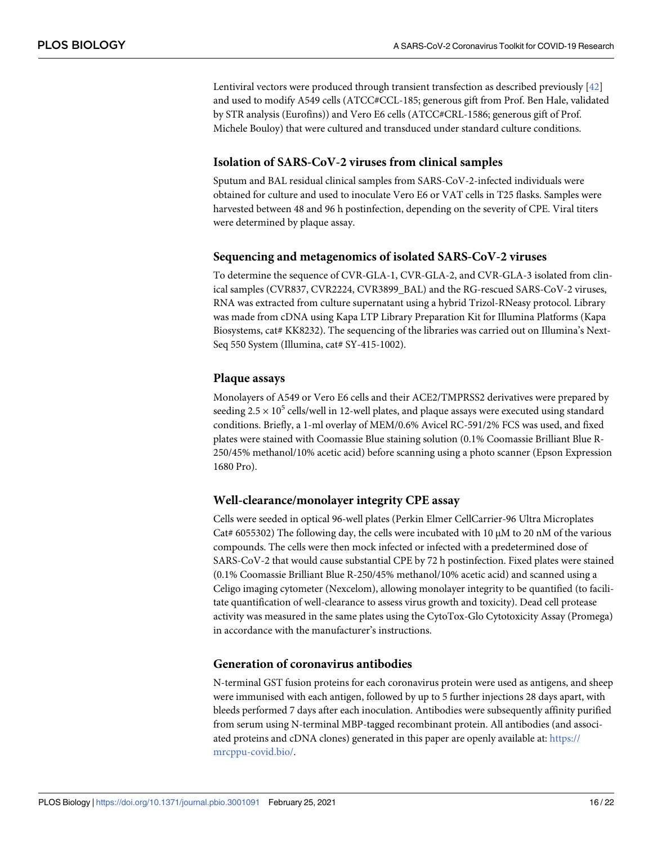<span id="page-15-0"></span>Lentiviral vectors were produced through transient transfection as described previously [[42](#page-21-0)] and used to modify A549 cells (ATCC#CCL-185; generous gift from Prof. Ben Hale, validated by STR analysis (Eurofins)) and Vero E6 cells (ATCC#CRL-1586; generous gift of Prof. Michele Bouloy) that were cultured and transduced under standard culture conditions.

#### **Isolation of SARS-CoV-2 viruses from clinical samples**

Sputum and BAL residual clinical samples from SARS-CoV-2-infected individuals were obtained for culture and used to inoculate Vero E6 or VAT cells in T25 flasks. Samples were harvested between 48 and 96 h postinfection, depending on the severity of CPE. Viral titers were determined by plaque assay.

#### **Sequencing and metagenomics of isolated SARS-CoV-2 viruses**

To determine the sequence of CVR-GLA-1, CVR-GLA-2, and CVR-GLA-3 isolated from clinical samples (CVR837, CVR2224, CVR3899\_BAL) and the RG-rescued SARS-CoV-2 viruses, RNA was extracted from culture supernatant using a hybrid Trizol-RNeasy protocol. Library was made from cDNA using Kapa LTP Library Preparation Kit for Illumina Platforms (Kapa Biosystems, cat# KK8232). The sequencing of the libraries was carried out on Illumina's Next-Seq 550 System (Illumina, cat# SY-415-1002).

#### **Plaque assays**

Monolayers of A549 or Vero E6 cells and their ACE2/TMPRSS2 derivatives were prepared by seeding  $2.5 \times 10^5$  cells/well in 12-well plates, and plaque assays were executed using standard conditions. Briefly, a 1-ml overlay of MEM/0.6% Avicel RC-591/2% FCS was used, and fixed plates were stained with Coomassie Blue staining solution (0.1% Coomassie Brilliant Blue R-250/45% methanol/10% acetic acid) before scanning using a photo scanner (Epson Expression 1680 Pro).

#### **Well-clearance/monolayer integrity CPE assay**

Cells were seeded in optical 96-well plates (Perkin Elmer CellCarrier-96 Ultra Microplates Cat# 6055302) The following day, the cells were incubated with 10  $\mu$ M to 20 nM of the various compounds. The cells were then mock infected or infected with a predetermined dose of SARS-CoV-2 that would cause substantial CPE by 72 h postinfection. Fixed plates were stained (0.1% Coomassie Brilliant Blue R-250/45% methanol/10% acetic acid) and scanned using a Celigo imaging cytometer (Nexcelom), allowing monolayer integrity to be quantified (to facilitate quantification of well-clearance to assess virus growth and toxicity). Dead cell protease activity was measured in the same plates using the CytoTox-Glo Cytotoxicity Assay (Promega) in accordance with the manufacturer's instructions.

#### **Generation of coronavirus antibodies**

N-terminal GST fusion proteins for each coronavirus protein were used as antigens, and sheep were immunised with each antigen, followed by up to 5 further injections 28 days apart, with bleeds performed 7 days after each inoculation. Antibodies were subsequently affinity purified from serum using N-terminal MBP-tagged recombinant protein. All antibodies (and associated proteins and cDNA clones) generated in this paper are openly available at: [https://](https://mrcppu-covid.bio/) [mrcppu-covid.bio/](https://mrcppu-covid.bio/).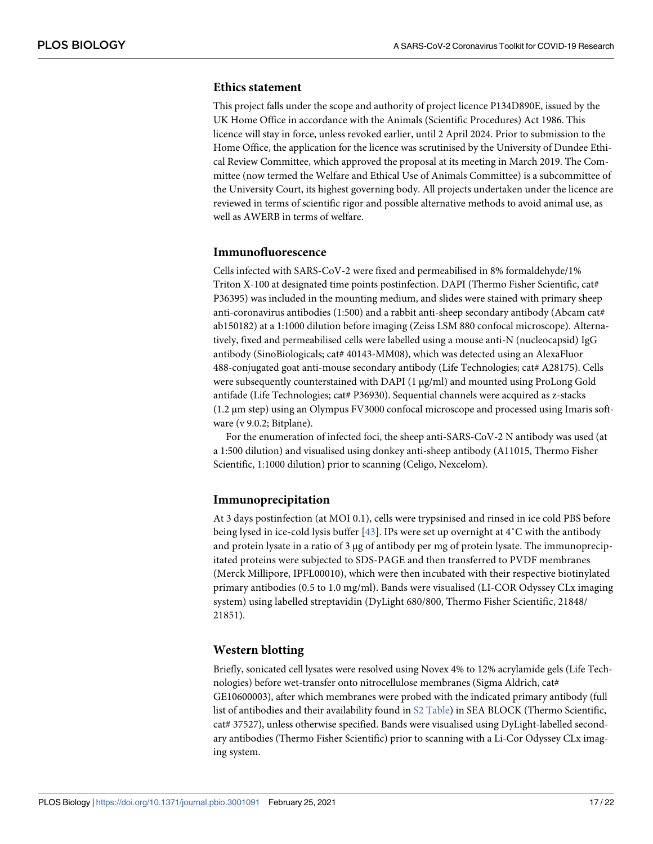#### <span id="page-16-0"></span>**Ethics statement**

This project falls under the scope and authority of project licence P134D890E, issued by the UK Home Office in accordance with the Animals (Scientific Procedures) Act 1986. This licence will stay in force, unless revoked earlier, until 2 April 2024. Prior to submission to the Home Office, the application for the licence was scrutinised by the University of Dundee Ethical Review Committee, which approved the proposal at its meeting in March 2019. The Committee (now termed the Welfare and Ethical Use of Animals Committee) is a subcommittee of the University Court, its highest governing body. All projects undertaken under the licence are reviewed in terms of scientific rigor and possible alternative methods to avoid animal use, as well as AWERB in terms of welfare.

#### **Immunofluorescence**

Cells infected with SARS-CoV-2 were fixed and permeabilised in 8% formaldehyde/1% Triton X-100 at designated time points postinfection. DAPI (Thermo Fisher Scientific, cat# P36395) was included in the mounting medium, and slides were stained with primary sheep anti-coronavirus antibodies (1:500) and a rabbit anti-sheep secondary antibody (Abcam cat# ab150182) at a 1:1000 dilution before imaging (Zeiss LSM 880 confocal microscope). Alternatively, fixed and permeabilised cells were labelled using a mouse anti-N (nucleocapsid) IgG antibody (SinoBiologicals; cat# 40143-MM08), which was detected using an AlexaFluor 488-conjugated goat anti-mouse secondary antibody (Life Technologies; cat# A28175). Cells were subsequently counterstained with DAPI (1 μg/ml) and mounted using ProLong Gold antifade (Life Technologies; cat# P36930). Sequential channels were acquired as z-stacks (1.2 μm step) using an Olympus FV3000 confocal microscope and processed using Imaris software (v 9.0.2; Bitplane).

For the enumeration of infected foci, the sheep anti-SARS-CoV-2 N antibody was used (at a 1:500 dilution) and visualised using donkey anti-sheep antibody (A11015, Thermo Fisher Scientific, 1:1000 dilution) prior to scanning (Celigo, Nexcelom).

#### **Immunoprecipitation**

At 3 days postinfection (at MOI 0.1), cells were trypsinised and rinsed in ice cold PBS before being lysed in ice-cold lysis buffer  $[43]$  $[43]$  $[43]$ . IPs were set up overnight at 4°C with the antibody and protein lysate in a ratio of 3 μg of antibody per mg of protein lysate. The immunoprecipitated proteins were subjected to SDS-PAGE and then transferred to PVDF membranes (Merck Millipore, IPFL00010), which were then incubated with their respective biotinylated primary antibodies (0.5 to 1.0 mg/ml). Bands were visualised (LI-COR Odyssey CLx imaging system) using labelled streptavidin (DyLight 680/800, Thermo Fisher Scientific, 21848/ 21851).

#### **Western blotting**

Briefly, sonicated cell lysates were resolved using Novex 4% to 12% acrylamide gels (Life Technologies) before wet-transfer onto nitrocellulose membranes (Sigma Aldrich, cat# GE10600003), after which membranes were probed with the indicated primary antibody (full list of antibodies and their availability found in [S2 Table\)](#page-18-0) in SEA BLOCK (Thermo Scientific, cat# 37527), unless otherwise specified. Bands were visualised using DyLight-labelled secondary antibodies (Thermo Fisher Scientific) prior to scanning with a Li-Cor Odyssey CLx imaging system.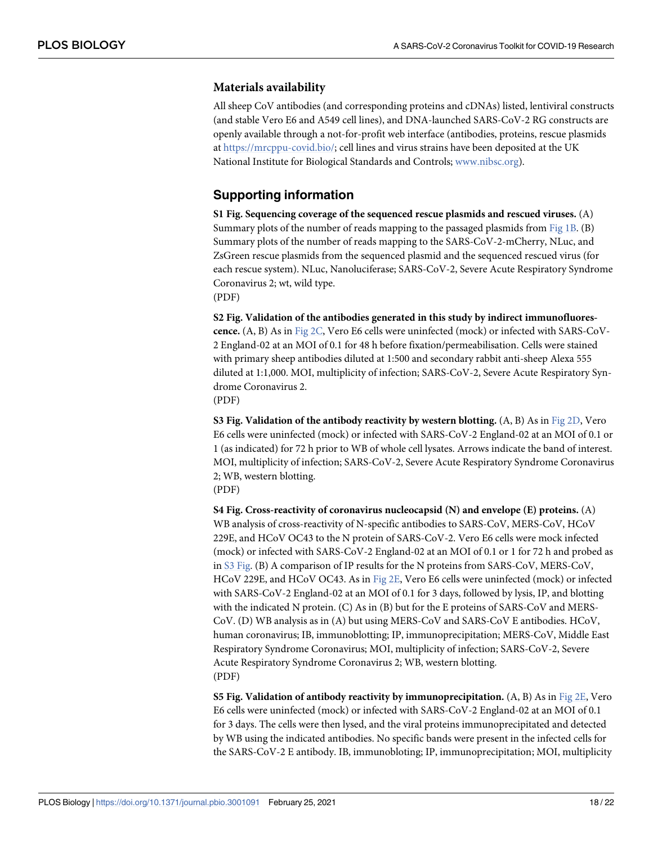#### <span id="page-17-0"></span>**Materials availability**

All sheep CoV antibodies (and corresponding proteins and cDNAs) listed, lentiviral constructs (and stable Vero E6 and A549 cell lines), and DNA-launched SARS-CoV-2 RG constructs are openly available through a not-for-profit web interface (antibodies, proteins, rescue plasmids at [https://mrcppu-covid.bio/;](https://mrcppu-covid.bio/) cell lines and virus strains have been deposited at the UK National Institute for Biological Standards and Controls; [www.nibsc.org\)](http://www.nibsc.org/).

## **Supporting information**

**[S1 Fig](http://journals.plos.org/plosbiology/article/asset?unique&id=info:doi/10.1371/journal.pbio.3001091.s001). Sequencing coverage of the sequenced rescue plasmids and rescued viruses.** (A) Summary plots of the number of reads mapping to the passaged plasmids from  $Fig 1B.$  (B) Summary plots of the number of reads mapping to the SARS-CoV-2-mCherry, NLuc, and ZsGreen rescue plasmids from the sequenced plasmid and the sequenced rescued virus (for each rescue system). NLuc, Nanoluciferase; SARS-CoV-2, Severe Acute Respiratory Syndrome Coronavirus 2; wt, wild type. (PDF)

**[S2 Fig](http://journals.plos.org/plosbiology/article/asset?unique&id=info:doi/10.1371/journal.pbio.3001091.s002). Validation of the antibodies generated in this study by indirect immunofluorescence.** (A, B) As in [Fig 2C,](#page-6-0) Vero E6 cells were uninfected (mock) or infected with SARS-CoV-2 England-02 at an MOI of 0.1 for 48 h before fixation/permeabilisation. Cells were stained with primary sheep antibodies diluted at 1:500 and secondary rabbit anti-sheep Alexa 555 diluted at 1:1,000. MOI, multiplicity of infection; SARS-CoV-2, Severe Acute Respiratory Syndrome Coronavirus 2.

(PDF)

**[S3 Fig](http://journals.plos.org/plosbiology/article/asset?unique&id=info:doi/10.1371/journal.pbio.3001091.s003). Validation of the antibody reactivity by western blotting.** (A, B) As in [Fig 2D](#page-6-0), Vero E6 cells were uninfected (mock) or infected with SARS-CoV-2 England-02 at an MOI of 0.1 or 1 (as indicated) for 72 h prior to WB of whole cell lysates. Arrows indicate the band of interest. MOI, multiplicity of infection; SARS-CoV-2, Severe Acute Respiratory Syndrome Coronavirus 2; WB, western blotting. (PDF)

**[S4 Fig](http://journals.plos.org/plosbiology/article/asset?unique&id=info:doi/10.1371/journal.pbio.3001091.s004). Cross-reactivity of coronavirus nucleocapsid (N) and envelope (E) proteins.** (A) WB analysis of cross-reactivity of N-specific antibodies to SARS-CoV, MERS-CoV, HCoV 229E, and HCoV OC43 to the N protein of SARS-CoV-2. Vero E6 cells were mock infected (mock) or infected with SARS-CoV-2 England-02 at an MOI of 0.1 or 1 for 72 h and probed as in S3 Fig. (B) A comparison of IP results for the N proteins from SARS-CoV, MERS-CoV, HCoV 229E, and HCoV OC43. As in [Fig 2E](#page-6-0), Vero E6 cells were uninfected (mock) or infected with SARS-CoV-2 England-02 at an MOI of 0.1 for 3 days, followed by lysis, IP, and blotting with the indicated N protein. (C) As in (B) but for the E proteins of SARS-CoV and MERS-CoV. (D) WB analysis as in (A) but using MERS-CoV and SARS-CoV E antibodies. HCoV, human coronavirus; IB, immunoblotting; IP, immunoprecipitation; MERS-CoV, Middle East Respiratory Syndrome Coronavirus; MOI, multiplicity of infection; SARS-CoV-2, Severe Acute Respiratory Syndrome Coronavirus 2; WB, western blotting. (PDF)

**[S5 Fig](http://journals.plos.org/plosbiology/article/asset?unique&id=info:doi/10.1371/journal.pbio.3001091.s005). Validation of antibody reactivity by immunoprecipitation.** (A, B) As in [Fig 2E,](#page-6-0) Vero E6 cells were uninfected (mock) or infected with SARS-CoV-2 England-02 at an MOI of 0.1 for 3 days. The cells were then lysed, and the viral proteins immunoprecipitated and detected by WB using the indicated antibodies. No specific bands were present in the infected cells for the SARS-CoV-2 E antibody. IB, immunobloting; IP, immunoprecipitation; MOI, multiplicity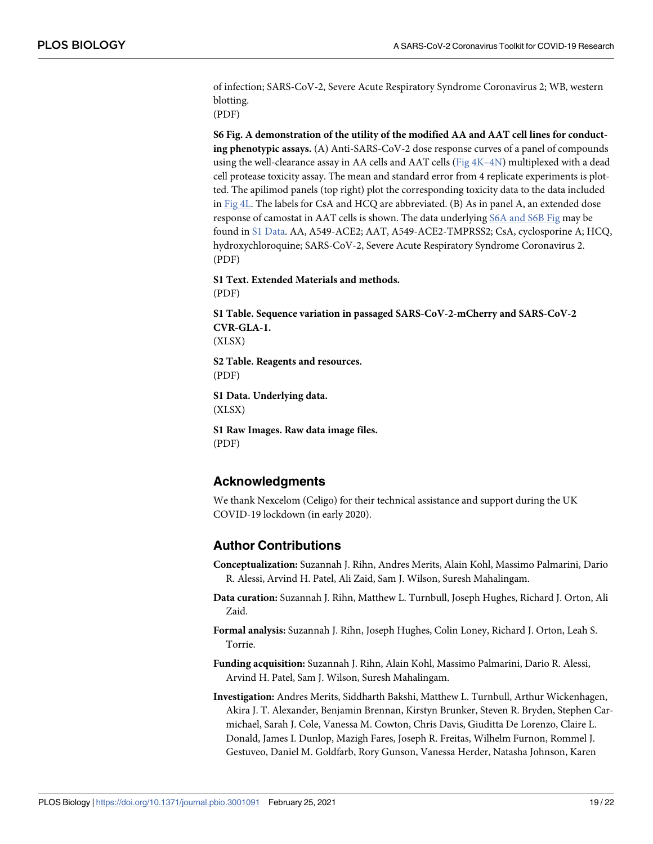<span id="page-18-0"></span>of infection; SARS-CoV-2, Severe Acute Respiratory Syndrome Coronavirus 2; WB, western blotting.

(PDF)

**[S6 Fig](http://journals.plos.org/plosbiology/article/asset?unique&id=info:doi/10.1371/journal.pbio.3001091.s006). A demonstration of the utility of the modified AA and AAT cell lines for conducting phenotypic assays.** (A) Anti-SARS-CoV-2 dose response curves of a panel of compounds using the well-clearance assay in AA cells and AAT cells ( $Fig 4K-4N$ ) multiplexed with a dead cell protease toxicity assay. The mean and standard error from 4 replicate experiments is plotted. The apilimod panels (top right) plot the corresponding toxicity data to the data included in [Fig 4L](#page-10-0). The labels for CsA and HCQ are abbreviated. (B) As in panel A, an extended dose response of camostat in AAT cells is shown. The data underlying S6A and S6B Fig may be found in S1 Data. AA, A549-ACE2; AAT, A549-ACE2-TMPRSS2; CsA, cyclosporine A; HCQ, hydroxychloroquine; SARS-CoV-2, Severe Acute Respiratory Syndrome Coronavirus 2. (PDF)

**[S1 Text](http://journals.plos.org/plosbiology/article/asset?unique&id=info:doi/10.1371/journal.pbio.3001091.s007). Extended Materials and methods.** (PDF)

**[S1 Table.](http://journals.plos.org/plosbiology/article/asset?unique&id=info:doi/10.1371/journal.pbio.3001091.s008) Sequence variation in passaged SARS-CoV-2-mCherry and SARS-CoV-2 CVR-GLA-1.** (XLSX)

**[S2 Table.](http://journals.plos.org/plosbiology/article/asset?unique&id=info:doi/10.1371/journal.pbio.3001091.s009) Reagents and resources.** (PDF)

**[S1 Data](http://journals.plos.org/plosbiology/article/asset?unique&id=info:doi/10.1371/journal.pbio.3001091.s010). Underlying data.** (XLSX)

**[S1 Raw Images](http://journals.plos.org/plosbiology/article/asset?unique&id=info:doi/10.1371/journal.pbio.3001091.s011). Raw data image files.** (PDF)

#### **Acknowledgments**

We thank Nexcelom (Celigo) for their technical assistance and support during the UK COVID-19 lockdown (in early 2020).

## **Author Contributions**

**Conceptualization:** Suzannah J. Rihn, Andres Merits, Alain Kohl, Massimo Palmarini, Dario R. Alessi, Arvind H. Patel, Ali Zaid, Sam J. Wilson, Suresh Mahalingam.

- **Data curation:** Suzannah J. Rihn, Matthew L. Turnbull, Joseph Hughes, Richard J. Orton, Ali Zaid.
- **Formal analysis:** Suzannah J. Rihn, Joseph Hughes, Colin Loney, Richard J. Orton, Leah S. Torrie.
- **Funding acquisition:** Suzannah J. Rihn, Alain Kohl, Massimo Palmarini, Dario R. Alessi, Arvind H. Patel, Sam J. Wilson, Suresh Mahalingam.
- **Investigation:** Andres Merits, Siddharth Bakshi, Matthew L. Turnbull, Arthur Wickenhagen, Akira J. T. Alexander, Benjamin Brennan, Kirstyn Brunker, Steven R. Bryden, Stephen Carmichael, Sarah J. Cole, Vanessa M. Cowton, Chris Davis, Giuditta De Lorenzo, Claire L. Donald, James I. Dunlop, Mazigh Fares, Joseph R. Freitas, Wilhelm Furnon, Rommel J. Gestuveo, Daniel M. Goldfarb, Rory Gunson, Vanessa Herder, Natasha Johnson, Karen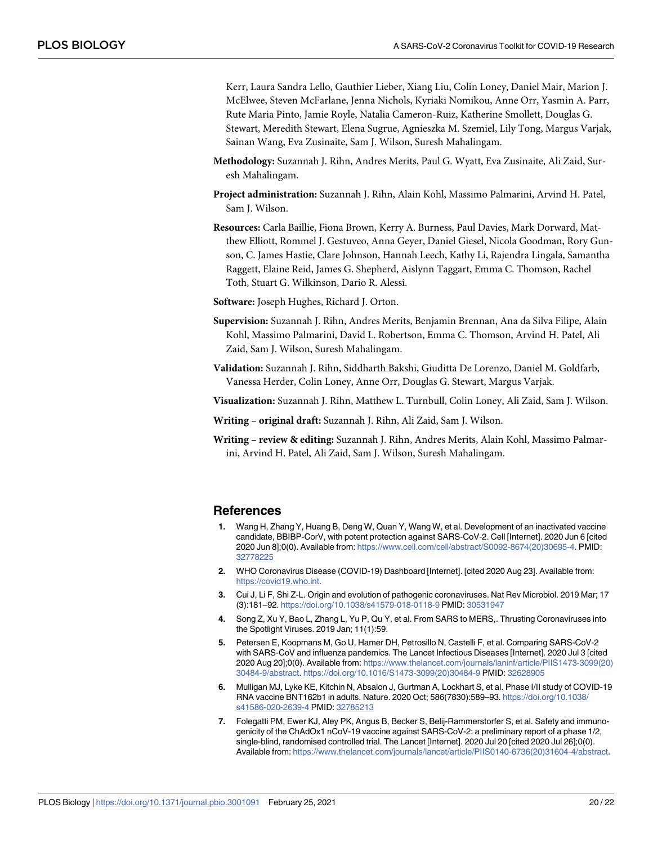<span id="page-19-0"></span>Kerr, Laura Sandra Lello, Gauthier Lieber, Xiang Liu, Colin Loney, Daniel Mair, Marion J. McElwee, Steven McFarlane, Jenna Nichols, Kyriaki Nomikou, Anne Orr, Yasmin A. Parr, Rute Maria Pinto, Jamie Royle, Natalia Cameron-Ruiz, Katherine Smollett, Douglas G. Stewart, Meredith Stewart, Elena Sugrue, Agnieszka M. Szemiel, Lily Tong, Margus Varjak, Sainan Wang, Eva Zusinaite, Sam J. Wilson, Suresh Mahalingam.

- **Methodology:** Suzannah J. Rihn, Andres Merits, Paul G. Wyatt, Eva Zusinaite, Ali Zaid, Suresh Mahalingam.
- **Project administration:** Suzannah J. Rihn, Alain Kohl, Massimo Palmarini, Arvind H. Patel, Sam J. Wilson.
- **Resources:** Carla Baillie, Fiona Brown, Kerry A. Burness, Paul Davies, Mark Dorward, Matthew Elliott, Rommel J. Gestuveo, Anna Geyer, Daniel Giesel, Nicola Goodman, Rory Gunson, C. James Hastie, Clare Johnson, Hannah Leech, Kathy Li, Rajendra Lingala, Samantha Raggett, Elaine Reid, James G. Shepherd, Aislynn Taggart, Emma C. Thomson, Rachel Toth, Stuart G. Wilkinson, Dario R. Alessi.
- **Software:** Joseph Hughes, Richard J. Orton.
- **Supervision:** Suzannah J. Rihn, Andres Merits, Benjamin Brennan, Ana da Silva Filipe, Alain Kohl, Massimo Palmarini, David L. Robertson, Emma C. Thomson, Arvind H. Patel, Ali Zaid, Sam J. Wilson, Suresh Mahalingam.
- **Validation:** Suzannah J. Rihn, Siddharth Bakshi, Giuditta De Lorenzo, Daniel M. Goldfarb, Vanessa Herder, Colin Loney, Anne Orr, Douglas G. Stewart, Margus Varjak.
- **Visualization:** Suzannah J. Rihn, Matthew L. Turnbull, Colin Loney, Ali Zaid, Sam J. Wilson.
- **Writing original draft:** Suzannah J. Rihn, Ali Zaid, Sam J. Wilson.
- **Writing review & editing:** Suzannah J. Rihn, Andres Merits, Alain Kohl, Massimo Palmarini, Arvind H. Patel, Ali Zaid, Sam J. Wilson, Suresh Mahalingam.

#### **References**

- **[1](#page-1-0).** Wang H, Zhang Y, Huang B, Deng W, Quan Y, Wang W, et al. Development of an inactivated vaccine candidate, BBIBP-CorV, with potent protection against SARS-CoV-2. Cell [Internet]. 2020 Jun 6 [cited 2020 Jun 8];0(0). Available from: [https://www.cell.com/cell/abstract/S0092-8674\(20\)30695-4.](https://www.cell.com/cell/abstract/S0092-8674(20)30695-4) PMID: [32778225](http://www.ncbi.nlm.nih.gov/pubmed/32778225)
- **[2](#page-1-0).** WHO Coronavirus Disease (COVID-19) Dashboard [Internet]. [cited 2020 Aug 23]. Available from: <https://covid19.who.int>.
- **[3](#page-1-0).** Cui J, Li F, Shi Z-L. Origin and evolution of pathogenic coronaviruses. Nat Rev Microbiol. 2019 Mar; 17 (3):181–92. <https://doi.org/10.1038/s41579-018-0118-9> PMID: [30531947](http://www.ncbi.nlm.nih.gov/pubmed/30531947)
- **[4](#page-1-0).** Song Z, Xu Y, Bao L, Zhang L, Yu P, Qu Y, et al. From SARS to MERS,. Thrusting Coronaviruses into the Spotlight Viruses. 2019 Jan; 11(1):59.
- **[5](#page-1-0).** Petersen E, Koopmans M, Go U, Hamer DH, Petrosillo N, Castelli F, et al. Comparing SARS-CoV-2 with SARS-CoV and influenza pandemics. The Lancet Infectious Diseases [Internet]. 2020 Jul 3 [cited] 2020 Aug 20];0(0). Available from: [https://www.thelancet.com/journals/laninf/article/PIIS1473-3099\(20\)](https://www.thelancet.com/journals/laninf/article/PIIS1473-3099(20)30484-9/abstract) [30484-9/abstract.](https://www.thelancet.com/journals/laninf/article/PIIS1473-3099(20)30484-9/abstract) [https://doi.org/10.1016/S1473-3099\(20\)30484-9](https://doi.org/10.1016/S1473-3099%2820%2930484-9) PMID: [32628905](http://www.ncbi.nlm.nih.gov/pubmed/32628905)
- **[6](#page-1-0).** Mulligan MJ, Lyke KE, Kitchin N, Absalon J, Gurtman A, Lockhart S, et al. Phase I/II study of COVID-19 RNA vaccine BNT162b1 in adults. Nature. 2020 Oct; 586(7830):589–93. [https://doi.org/10.1038/](https://doi.org/10.1038/s41586-020-2639-4) [s41586-020-2639-4](https://doi.org/10.1038/s41586-020-2639-4) PMID: [32785213](http://www.ncbi.nlm.nih.gov/pubmed/32785213)
- **[7](#page-1-0).** Folegatti PM, Ewer KJ, Aley PK, Angus B, Becker S, Belij-Rammerstorfer S, et al. Safety and immunogenicity of the ChAdOx1 nCoV-19 vaccine against SARS-CoV-2: a preliminary report of a phase 1/2, single-blind, randomised controlled trial. The Lancet [Internet]. 2020 Jul 20 [cited 2020 Jul 26];0(0). Available from: [https://www.thelancet.com/journals/lancet/article/PIIS0140-6736\(20\)31604-4/abstract](https://www.thelancet.com/journals/lancet/article/PIIS0140-6736(20)31604-4/abstract).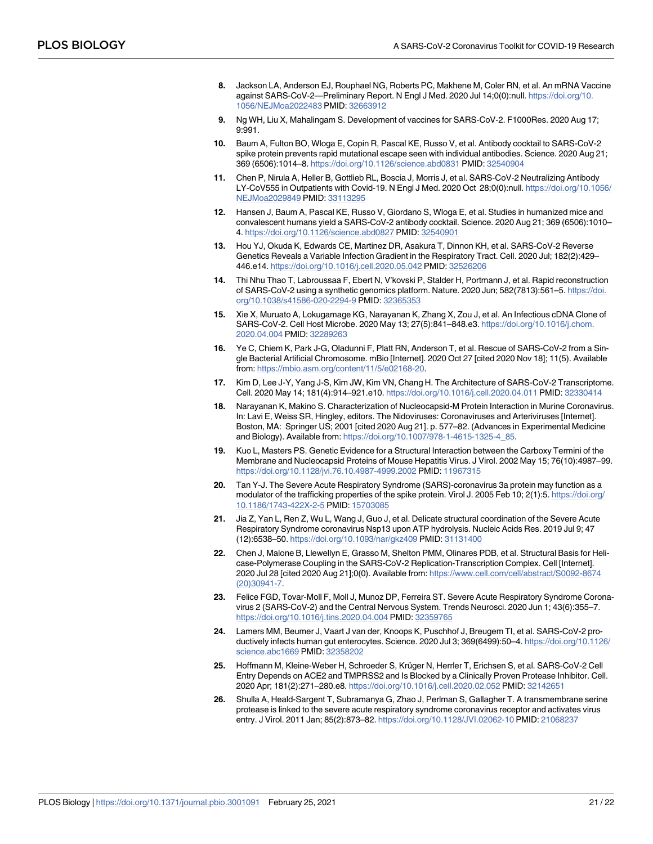- <span id="page-20-0"></span>**8.** Jackson LA, Anderson EJ, Rouphael NG, Roberts PC, Makhene M, Coler RN, et al. An mRNA Vaccine against SARS-CoV-2—Preliminary Report. N Engl J Med. 2020 Jul 14;0(0):null. [https://doi.org/10.](https://doi.org/10.1056/NEJMoa2022483) [1056/NEJMoa2022483](https://doi.org/10.1056/NEJMoa2022483) PMID: [32663912](http://www.ncbi.nlm.nih.gov/pubmed/32663912)
- **[9](#page-1-0).** Ng WH, Liu X, Mahalingam S. Development of vaccines for SARS-CoV-2. F1000Res. 2020 Aug 17; 9:991.
- **[10](#page-1-0).** Baum A, Fulton BO, Wloga E, Copin R, Pascal KE, Russo V, et al. Antibody cocktail to SARS-CoV-2 spike protein prevents rapid mutational escape seen with individual antibodies. Science. 2020 Aug 21; 369 (6506):1014–8. <https://doi.org/10.1126/science.abd0831> PMID: [32540904](http://www.ncbi.nlm.nih.gov/pubmed/32540904)
- **11.** Chen P, Nirula A, Heller B, Gottlieb RL, Boscia J, Morris J, et al. SARS-CoV-2 Neutralizing Antibody LY-CoV555 in Outpatients with Covid-19. N Engl J Med. 2020 Oct 28;0(0):null. [https://doi.org/10.1056/](https://doi.org/10.1056/NEJMoa2029849) [NEJMoa2029849](https://doi.org/10.1056/NEJMoa2029849) PMID: [33113295](http://www.ncbi.nlm.nih.gov/pubmed/33113295)
- **[12](#page-1-0).** Hansen J, Baum A, Pascal KE, Russo V, Giordano S, Wloga E, et al. Studies in humanized mice and convalescent humans yield a SARS-CoV-2 antibody cocktail. Science. 2020 Aug 21; 369 (6506):1010– 4. <https://doi.org/10.1126/science.abd0827> PMID: [32540901](http://www.ncbi.nlm.nih.gov/pubmed/32540901)
- **[13](#page-1-0).** Hou YJ, Okuda K, Edwards CE, Martinez DR, Asakura T, Dinnon KH, et al. SARS-CoV-2 Reverse Genetics Reveals a Variable Infection Gradient in the Respiratory Tract. Cell. 2020 Jul; 182(2):429– 446.e14. <https://doi.org/10.1016/j.cell.2020.05.042> PMID: [32526206](http://www.ncbi.nlm.nih.gov/pubmed/32526206)
- **[14](#page-1-0).** Thi Nhu Thao T, Labroussaa F, Ebert N, V'kovski P, Stalder H, Portmann J, et al. Rapid reconstruction of SARS-CoV-2 using a synthetic genomics platform. Nature. 2020 Jun; 582(7813):561–5. [https://doi.](https://doi.org/10.1038/s41586-020-2294-9) [org/10.1038/s41586-020-2294-9](https://doi.org/10.1038/s41586-020-2294-9) PMID: [32365353](http://www.ncbi.nlm.nih.gov/pubmed/32365353)
- **[15](#page-1-0).** Xie X, Muruato A, Lokugamage KG, Narayanan K, Zhang X, Zou J, et al. An Infectious cDNA Clone of SARS-CoV-2. Cell Host Microbe. 2020 May 13; 27(5):841–848.e3. [https://doi.org/10.1016/j.chom.](https://doi.org/10.1016/j.chom.2020.04.004) [2020.04.004](https://doi.org/10.1016/j.chom.2020.04.004) PMID: [32289263](http://www.ncbi.nlm.nih.gov/pubmed/32289263)
- **[16](#page-1-0).** Ye C, Chiem K, Park J-G, Oladunni F, Platt RN, Anderson T, et al. Rescue of SARS-CoV-2 from a Single Bacterial Artificial Chromosome. mBio [Internet]. 2020 Oct 27 [cited 2020 Nov 18]; 11(5). Available from: [https://mbio.asm.org/content/11/5/e02168-20.](https://mbio.asm.org/content/11/5/e02168-20)
- **[17](#page-7-0).** Kim D, Lee J-Y, Yang J-S, Kim JW, Kim VN, Chang H. The Architecture of SARS-CoV-2 Transcriptome. Cell. 2020 May 14; 181(4):914–921.e10. <https://doi.org/10.1016/j.cell.2020.04.011> PMID: [32330414](http://www.ncbi.nlm.nih.gov/pubmed/32330414)
- **[18](#page-7-0).** Narayanan K, Makino S. Characterization of Nucleocapsid-M Protein Interaction in Murine Coronavirus. In: Lavi E, Weiss SR, Hingley, editors. The Nidoviruses: Coronaviruses and Arteriviruses [Internet]. Boston, MA: Springer US; 2001 [cited 2020 Aug 21]. p. 577–82. (Advances in Experimental Medicine and Biology). Available from: [https://doi.org/10.1007/978-1-4615-1325-4\\_85.](https://doi.org/10.1007/978-1-4615-1325-4_85)
- **19.** Kuo L, Masters PS. Genetic Evidence for a Structural Interaction between the Carboxy Termini of the Membrane and Nucleocapsid Proteins of Mouse Hepatitis Virus. J Virol. 2002 May 15; 76(10):4987–99. <https://doi.org/10.1128/jvi.76.10.4987-4999.2002> PMID: [11967315](http://www.ncbi.nlm.nih.gov/pubmed/11967315)
- **20.** Tan Y-J. The Severe Acute Respiratory Syndrome (SARS)-coronavirus 3a protein may function as a modulator of the trafficking properties of the spike protein. Virol J. 2005 Feb 10; 2(1):5. [https://doi.org/](https://doi.org/10.1186/1743-422X-2-5) [10.1186/1743-422X-2-5](https://doi.org/10.1186/1743-422X-2-5) PMID: [15703085](http://www.ncbi.nlm.nih.gov/pubmed/15703085)
- **[21](#page-7-0).** Jia Z, Yan L, Ren Z, Wu L, Wang J, Guo J, et al. Delicate structural coordination of the Severe Acute Respiratory Syndrome coronavirus Nsp13 upon ATP hydrolysis. Nucleic Acids Res. 2019 Jul 9; 47 (12):6538–50. <https://doi.org/10.1093/nar/gkz409> PMID: [31131400](http://www.ncbi.nlm.nih.gov/pubmed/31131400)
- **[22](#page-7-0).** Chen J, Malone B, Llewellyn E, Grasso M, Shelton PMM, Olinares PDB, et al. Structural Basis for Helicase-Polymerase Coupling in the SARS-CoV-2 Replication-Transcription Complex. Cell [Internet]. 2020 Jul 28 [cited 2020 Aug 21];0(0). Available from: [https://www.cell.com/cell/abstract/S0092-8674](https://www.cell.com/cell/abstract/S0092-8674(20)30941-7) [\(20\)30941-7](https://www.cell.com/cell/abstract/S0092-8674(20)30941-7).
- **[23](#page-8-0).** Felice FGD, Tovar-Moll F, Moll J, Munoz DP, Ferreira ST. Severe Acute Respiratory Syndrome Coronavirus 2 (SARS-CoV-2) and the Central Nervous System. Trends Neurosci. 2020 Jun 1; 43(6):355–7. <https://doi.org/10.1016/j.tins.2020.04.004> PMID: [32359765](http://www.ncbi.nlm.nih.gov/pubmed/32359765)
- **[24](#page-8-0).** Lamers MM, Beumer J, Vaart J van der, Knoops K, Puschhof J, Breugem TI, et al. SARS-CoV-2 productively infects human gut enterocytes. Science. 2020 Jul 3; 369(6499):50–4. [https://doi.org/10.1126/](https://doi.org/10.1126/science.abc1669) [science.abc1669](https://doi.org/10.1126/science.abc1669) PMID: [32358202](http://www.ncbi.nlm.nih.gov/pubmed/32358202)
- [25](#page-8-0). Hoffmann M, Kleine-Weber H, Schroeder S, Krüger N, Herrler T, Erichsen S, et al. SARS-CoV-2 Cell Entry Depends on ACE2 and TMPRSS2 and Is Blocked by a Clinically Proven Protease Inhibitor. Cell. 2020 Apr; 181(2):271–280.e8. <https://doi.org/10.1016/j.cell.2020.02.052> PMID: [32142651](http://www.ncbi.nlm.nih.gov/pubmed/32142651)
- **[26](#page-8-0).** Shulla A, Heald-Sargent T, Subramanya G, Zhao J, Perlman S, Gallagher T. A transmembrane serine protease is linked to the severe acute respiratory syndrome coronavirus receptor and activates virus entry. J Virol. 2011 Jan; 85(2):873–82. <https://doi.org/10.1128/JVI.02062-10> PMID: [21068237](http://www.ncbi.nlm.nih.gov/pubmed/21068237)